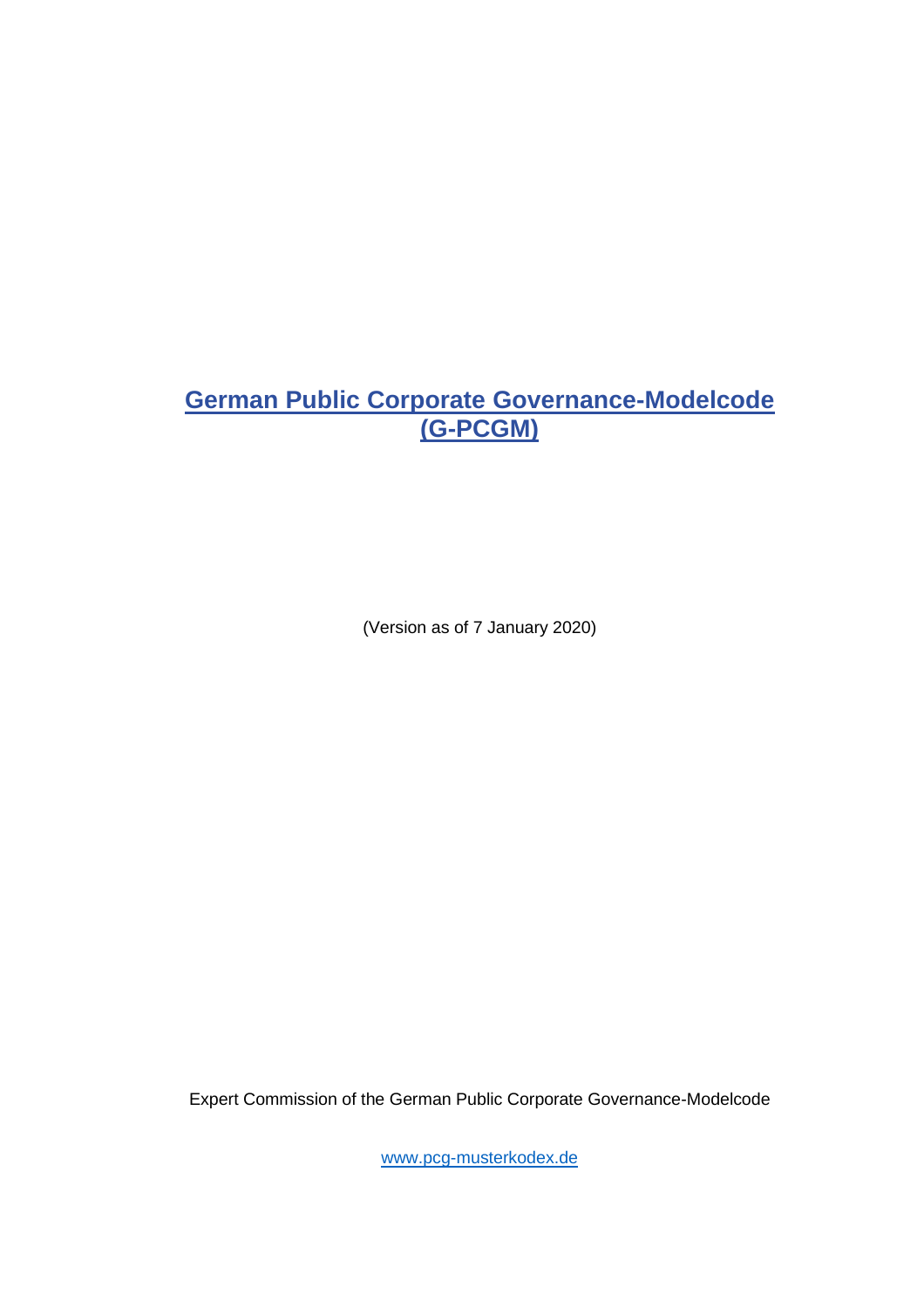(Version as of 7 January 2020)

Expert Commission of the German Public Corporate Governance-Modelcode

[www.pcg-musterkodex.de](http://www.pcg-musterkodex.de/)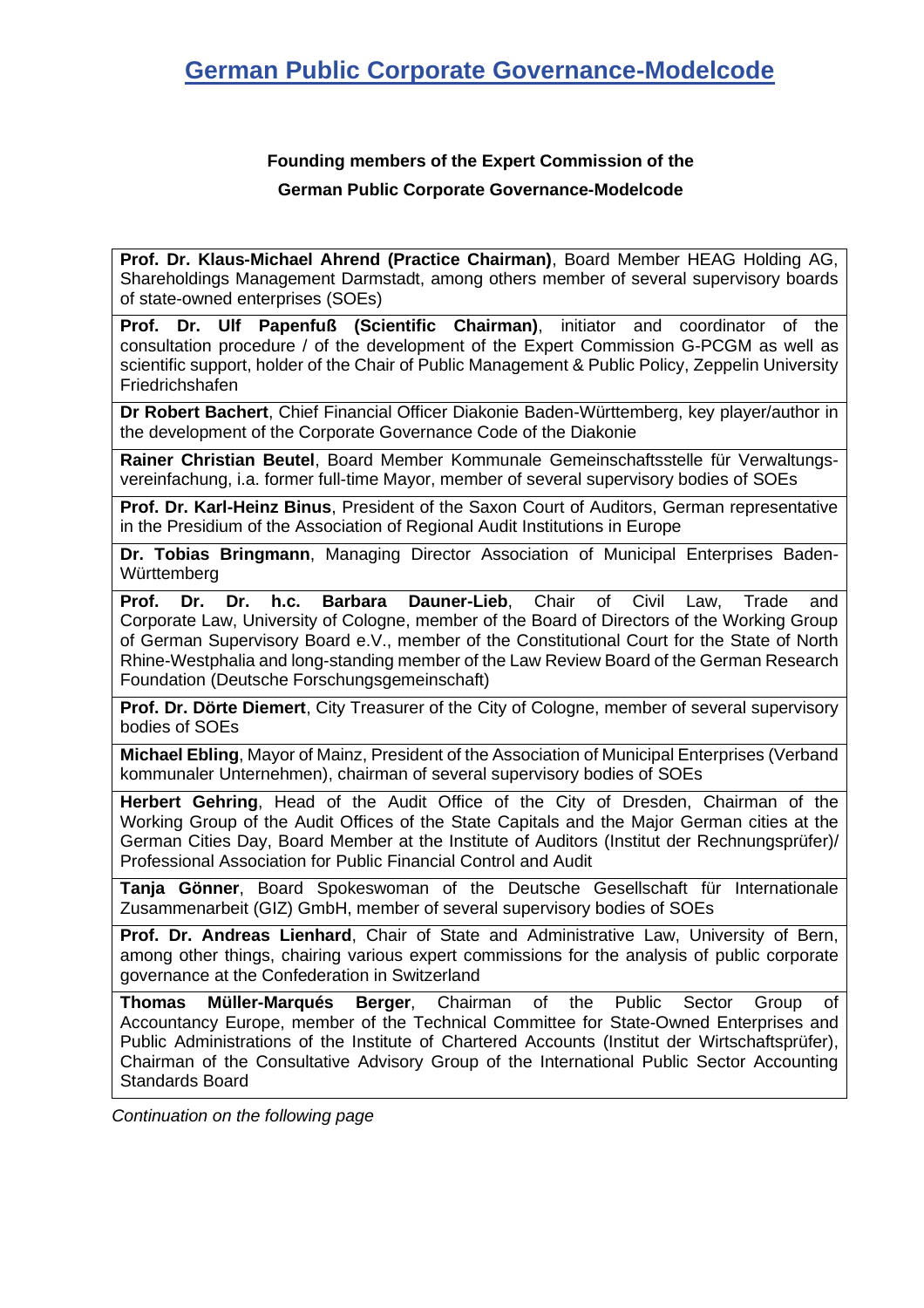## **Founding members of the Expert Commission of the German Public Corporate Governance-Modelcode**

**Prof. Dr. Klaus-Michael Ahrend (Practice Chairman)**, Board Member HEAG Holding AG, Shareholdings Management Darmstadt, among others member of several supervisory boards of state-owned enterprises (SOEs)

**Prof. Dr. Ulf Papenfuß (Scientific Chairman)**, initiator and coordinator of the consultation procedure / of the development of the Expert Commission G-PCGM as well as scientific support, holder of the Chair of Public Management & Public Policy, Zeppelin University Friedrichshafen

**Dr Robert Bachert**, Chief Financial Officer Diakonie Baden-Württemberg, key player/author in the development of the Corporate Governance Code of the Diakonie

**Rainer Christian Beutel**, Board Member Kommunale Gemeinschaftsstelle für Verwaltungsvereinfachung, i.a. former full-time Mayor, member of several supervisory bodies of SOEs

**Prof. Dr. Karl-Heinz Binus**, President of the Saxon Court of Auditors, German representative in the Presidium of the Association of Regional Audit Institutions in Europe

**Dr. Tobias Bringmann**, Managing Director Association of Municipal Enterprises Baden-**Württemberg** 

**Prof. Dr. Dr. h.c. Barbara Dauner-Lieb**, Chair of Civil Law, Trade and Corporate Law, University of Cologne, member of the Board of Directors of the Working Group of German Supervisory Board e.V., member of the Constitutional Court for the State of North Rhine-Westphalia and long-standing member of the Law Review Board of the German Research Foundation (Deutsche Forschungsgemeinschaft)

**Prof. Dr. Dörte Diemert**, City Treasurer of the City of Cologne, member of several supervisory bodies of SOEs

**Michael Ebling**, Mayor of Mainz, President of the Association of Municipal Enterprises (Verband kommunaler Unternehmen), chairman of several supervisory bodies of SOEs

**Herbert Gehring**, Head of the Audit Office of the City of Dresden, Chairman of the Working Group of the Audit Offices of the State Capitals and the Major German cities at the German Cities Day, Board Member at the Institute of Auditors (Institut der Rechnungsprüfer)/ Professional Association for Public Financial Control and Audit

**Tanja Gönner**, Board Spokeswoman of the Deutsche Gesellschaft für Internationale Zusammenarbeit (GIZ) GmbH, member of several supervisory bodies of SOEs

**Prof. Dr. Andreas Lienhard**, Chair of State and Administrative Law, University of Bern, among other things, chairing various expert commissions for the analysis of public corporate governance at the Confederation in Switzerland

**Thomas Müller-Marqués Berger**, Chairman of the Public Sector Group of Accountancy Europe, member of the Technical Committee for State-Owned Enterprises and Public Administrations of the Institute of Chartered Accounts (Institut der Wirtschaftsprüfer), Chairman of the Consultative Advisory Group of the International Public Sector Accounting Standards Board

*Continuation on the following page*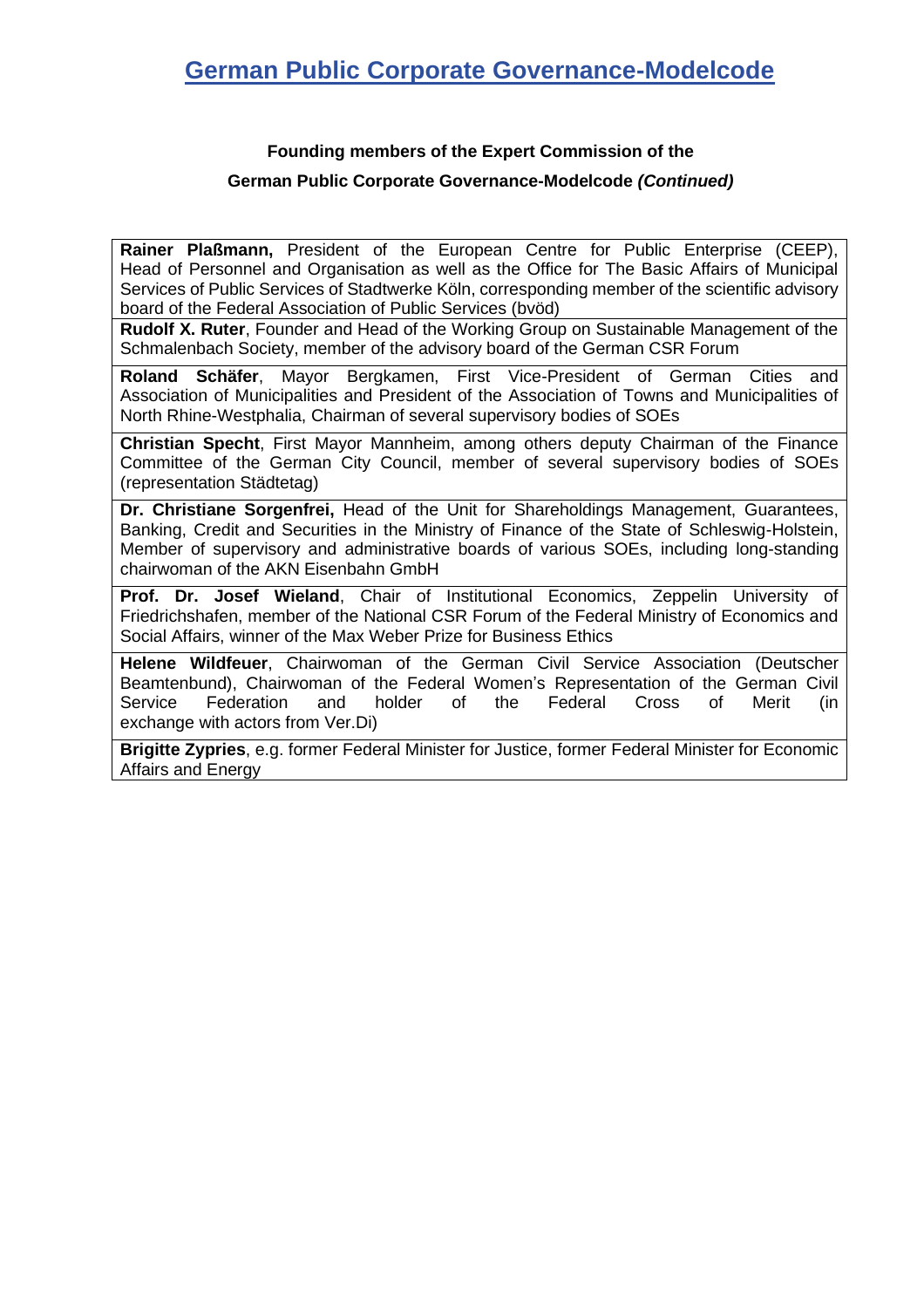## **Founding members of the Expert Commission of the**

#### **German Public Corporate Governance-Modelcode** *(Continued)*

**Rainer Plaßmann,** President of the European Centre for Public Enterprise (CEEP), Head of Personnel and Organisation as well as the Office for The Basic Affairs of Municipal Services of Public Services of Stadtwerke Köln, corresponding member of the scientific advisory board of the Federal Association of Public Services (bvöd)

**Rudolf X. Ruter**, Founder and Head of the Working Group on Sustainable Management of the Schmalenbach Society, member of the advisory board of the German CSR Forum

**Roland Schäfer**, Mayor Bergkamen, First Vice-President of German Cities and Association of Municipalities and President of the Association of Towns and Municipalities of North Rhine-Westphalia, Chairman of several supervisory bodies of SOEs

**Christian Specht**, First Mayor Mannheim, among others deputy Chairman of the Finance Committee of the German City Council, member of several supervisory bodies of SOEs (representation Städtetag)

**Dr. Christiane Sorgenfrei,** Head of the Unit for Shareholdings Management, Guarantees, Banking, Credit and Securities in the Ministry of Finance of the State of Schleswig-Holstein, Member of supervisory and administrative boards of various SOEs, including long-standing chairwoman of the AKN Eisenbahn GmbH

**Prof. Dr. Josef Wieland**, Chair of Institutional Economics, Zeppelin University of Friedrichshafen, member of the National CSR Forum of the Federal Ministry of Economics and Social Affairs, winner of the Max Weber Prize for Business Ethics

**Helene Wildfeuer**, Chairwoman of the German Civil Service Association (Deutscher Beamtenbund), Chairwoman of the Federal Women's Representation of the German Civil Service Federation and holder of the Federal Cross of Merit (in exchange with actors from Ver.Di)

**Brigitte Zypries**, e.g. former Federal Minister for Justice, former Federal Minister for Economic Affairs and Energy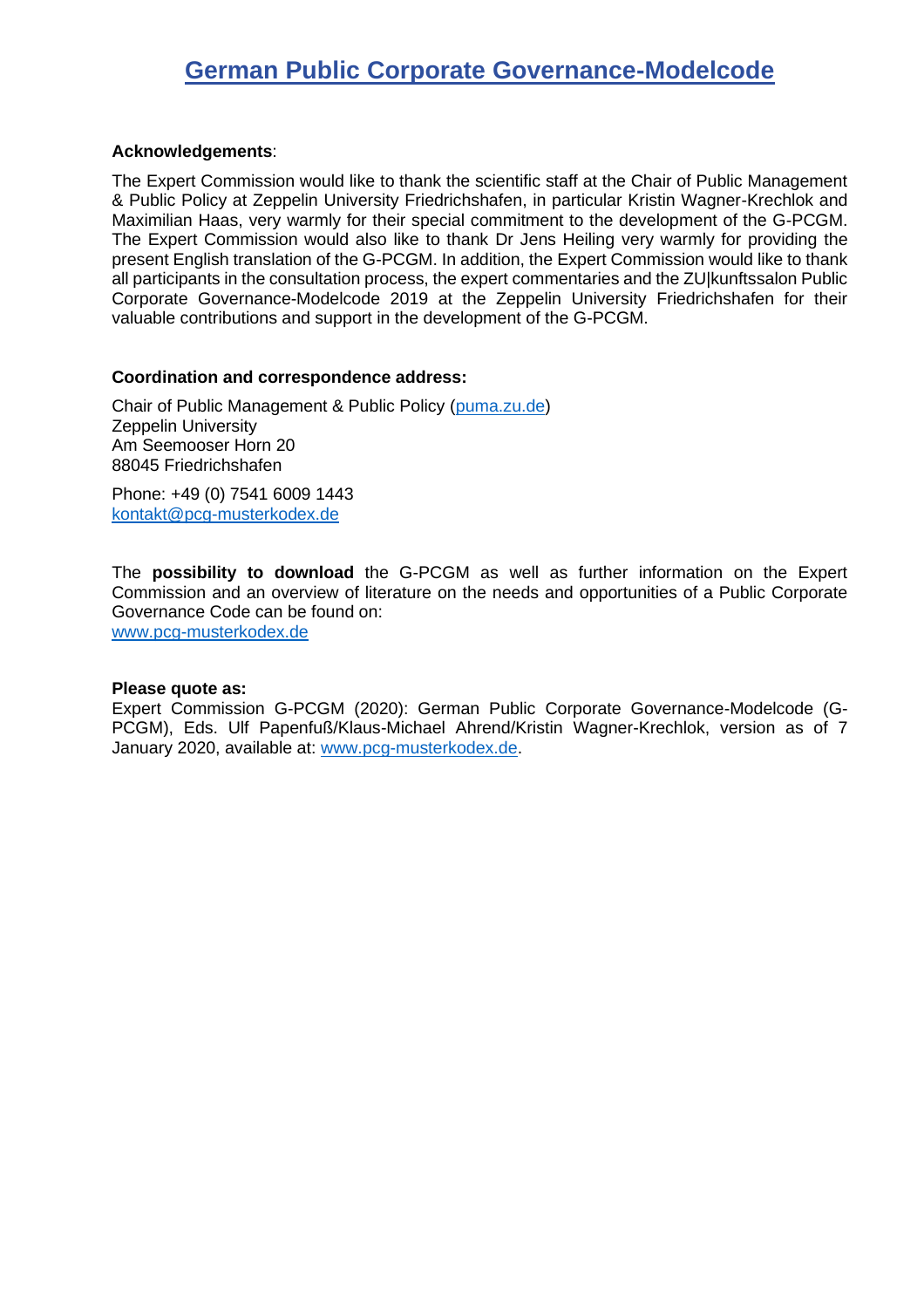#### **Acknowledgements**:

The Expert Commission would like to thank the scientific staff at the Chair of Public Management & Public Policy at Zeppelin University Friedrichshafen, in particular Kristin Wagner-Krechlok and Maximilian Haas, very warmly for their special commitment to the development of the G-PCGM. The Expert Commission would also like to thank Dr Jens Heiling very warmly for providing the present English translation of the G-PCGM. In addition, the Expert Commission would like to thank all participants in the consultation process, the expert commentaries and the ZU|kunftssalon Public Corporate Governance-Modelcode 2019 at the Zeppelin University Friedrichshafen for their valuable contributions and support in the development of the G-PCGM.

#### **Coordination and correspondence address:**

Chair of Public Management & Public Policy [\(puma.zu.de\)](http://puma.zu.de/) Zeppelin University Am Seemooser Horn 20 88045 Friedrichshafen

Phone: +49 (0) 7541 6009 1443 [kontakt@pcg-musterkodex.de](mailto:Kontakt@pcg-musterkodex.de)

The **possibility to download** the G-PCGM as well as further information on the Expert Commission and an overview of literature on the needs and opportunities of a Public Corporate Governance Code can be found on: [www.pcg-musterkodex.de](http://www.pcg-musterkodex.de/)

**Please quote as:**

Expert Commission G-PCGM (2020): German Public Corporate Governance-Modelcode (G-PCGM), Eds. Ulf Papenfuß/Klaus-Michael Ahrend/Kristin Wagner-Krechlok, version as of 7 January 2020, available at: [www.pcg-musterkodex.de.](http://www.pcg-musterkodex.de/)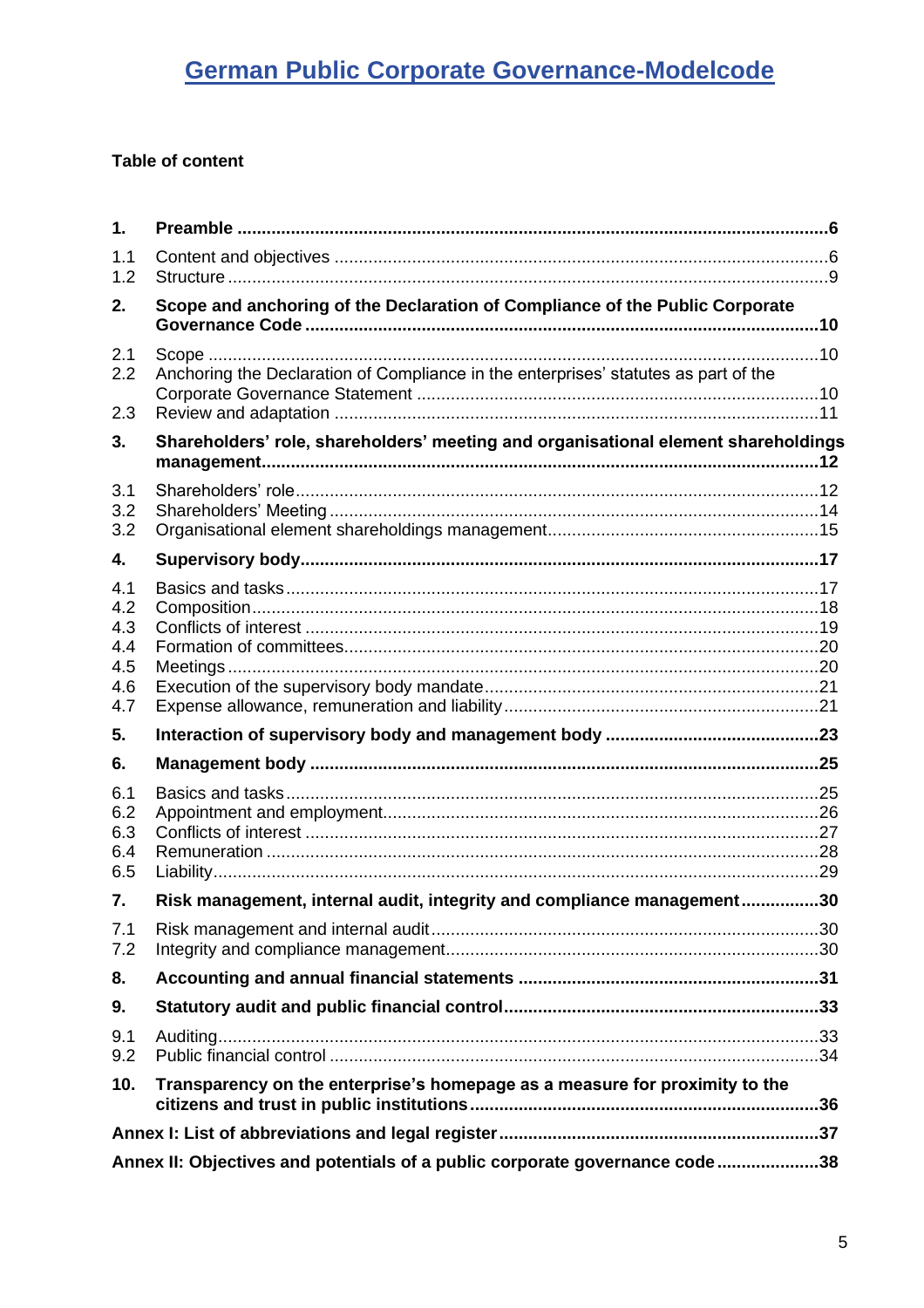### **Table of content**

| 1.         |                                                                                     |  |
|------------|-------------------------------------------------------------------------------------|--|
| 1.1<br>1.2 |                                                                                     |  |
| 2.         | Scope and anchoring of the Declaration of Compliance of the Public Corporate        |  |
| 2.1        |                                                                                     |  |
| 2.2        | Anchoring the Declaration of Compliance in the enterprises' statutes as part of the |  |
| 2.3        |                                                                                     |  |
| 3.         | Shareholders' role, shareholders' meeting and organisational element shareholdings  |  |
| 3.1        |                                                                                     |  |
| 3.2        |                                                                                     |  |
| 3.2        |                                                                                     |  |
| 4.         |                                                                                     |  |
| 4.1        |                                                                                     |  |
| 4.2        |                                                                                     |  |
| 4.3<br>4.4 |                                                                                     |  |
| 4.5        |                                                                                     |  |
| 4.6        |                                                                                     |  |
| 4.7        |                                                                                     |  |
| 5.         |                                                                                     |  |
| 6.         |                                                                                     |  |
| 6.1        |                                                                                     |  |
| 6.2        |                                                                                     |  |
| 6.3<br>6.4 |                                                                                     |  |
| 6.5        |                                                                                     |  |
| 7.         | Risk management, internal audit, integrity and compliance management30              |  |
| 7.1<br>7.2 |                                                                                     |  |
| 8.         |                                                                                     |  |
| 9.         |                                                                                     |  |
|            |                                                                                     |  |
| 9.1<br>9.2 |                                                                                     |  |
| 10.        | Transparency on the enterprise's homepage as a measure for proximity to the         |  |
|            |                                                                                     |  |
|            | Annex II: Objectives and potentials of a public corporate governance code38         |  |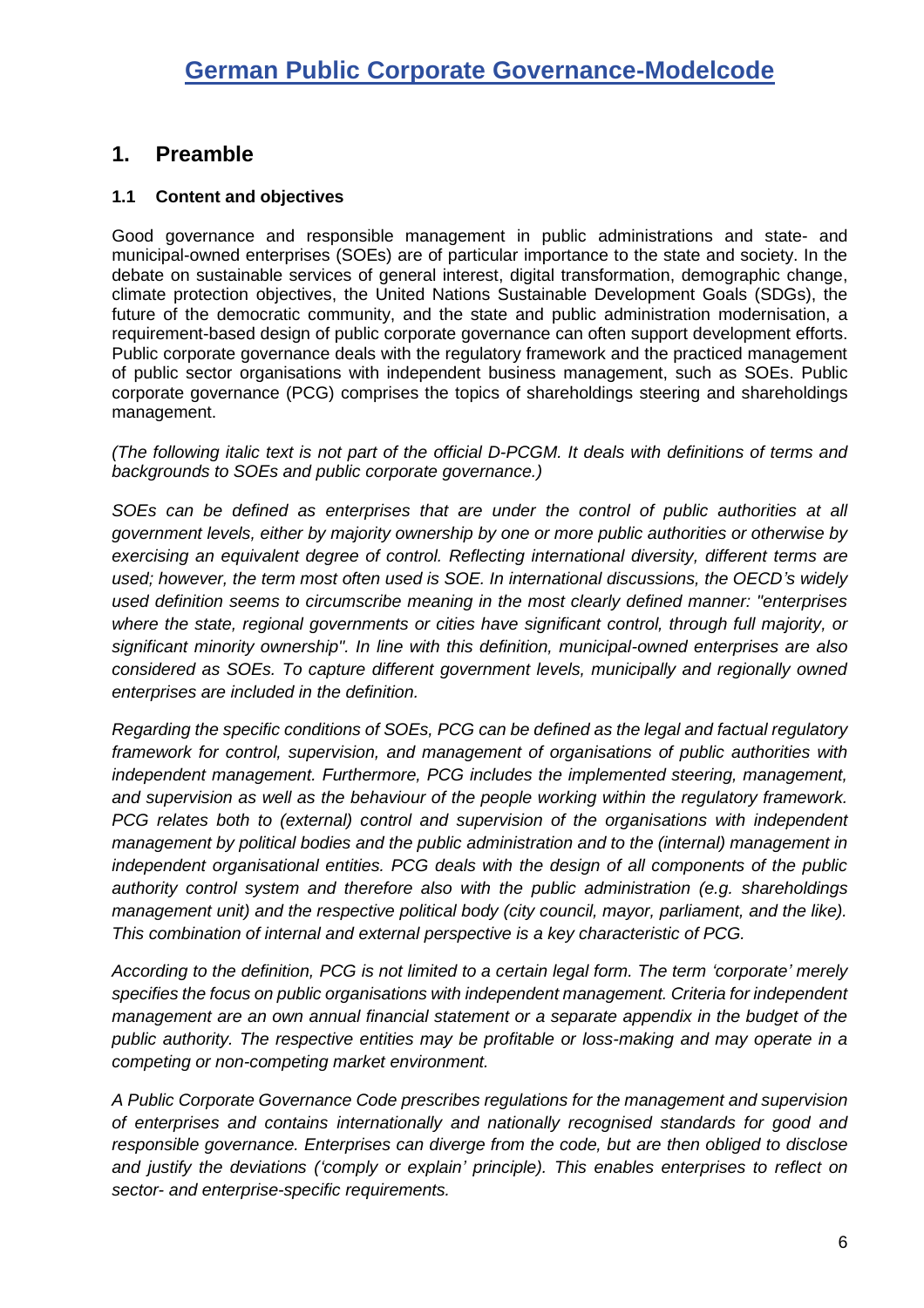## <span id="page-5-0"></span>**1. Preamble**

#### <span id="page-5-1"></span>**1.1 Content and objectives**

Good governance and responsible management in public administrations and state- and municipal-owned enterprises (SOEs) are of particular importance to the state and society. In the debate on sustainable services of general interest, digital transformation, demographic change, climate protection objectives, the United Nations Sustainable Development Goals (SDGs), the future of the democratic community, and the state and public administration modernisation, a requirement-based design of public corporate governance can often support development efforts. Public corporate governance deals with the regulatory framework and the practiced management of public sector organisations with independent business management, such as SOEs. Public corporate governance (PCG) comprises the topics of shareholdings steering and shareholdings management.

*(The following italic text is not part of the official D-PCGM. It deals with definitions of terms and backgrounds to SOEs and public corporate governance.)*

*SOEs can be defined as enterprises that are under the control of public authorities at all government levels, either by majority ownership by one or more public authorities or otherwise by exercising an equivalent degree of control. Reflecting international diversity, different terms are used; however, the term most often used is SOE. In international discussions, the OECD's widely used definition seems to circumscribe meaning in the most clearly defined manner: "enterprises where the state, regional governments or cities have significant control, through full majority, or significant minority ownership". In line with this definition, municipal-owned enterprises are also considered as SOEs. To capture different government levels, municipally and regionally owned enterprises are included in the definition.*

*Regarding the specific conditions of SOEs, PCG can be defined as the legal and factual regulatory framework for control, supervision, and management of organisations of public authorities with independent management. Furthermore, PCG includes the implemented steering, management, and supervision as well as the behaviour of the people working within the regulatory framework. PCG relates both to (external) control and supervision of the organisations with independent management by political bodies and the public administration and to the (internal) management in independent organisational entities. PCG deals with the design of all components of the public authority control system and therefore also with the public administration (e.g. shareholdings management unit) and the respective political body (city council, mayor, parliament, and the like). This combination of internal and external perspective is a key characteristic of PCG.* 

*According to the definition, PCG is not limited to a certain legal form. The term 'corporate' merely specifies the focus on public organisations with independent management. Criteria for independent management are an own annual financial statement or a separate appendix in the budget of the public authority. The respective entities may be profitable or loss-making and may operate in a competing or non-competing market environment.*

*A Public Corporate Governance Code prescribes regulations for the management and supervision of enterprises and contains internationally and nationally recognised standards for good and responsible governance. Enterprises can diverge from the code, but are then obliged to disclose and justify the deviations ('comply or explain' principle). This enables enterprises to reflect on sector- and enterprise-specific requirements.*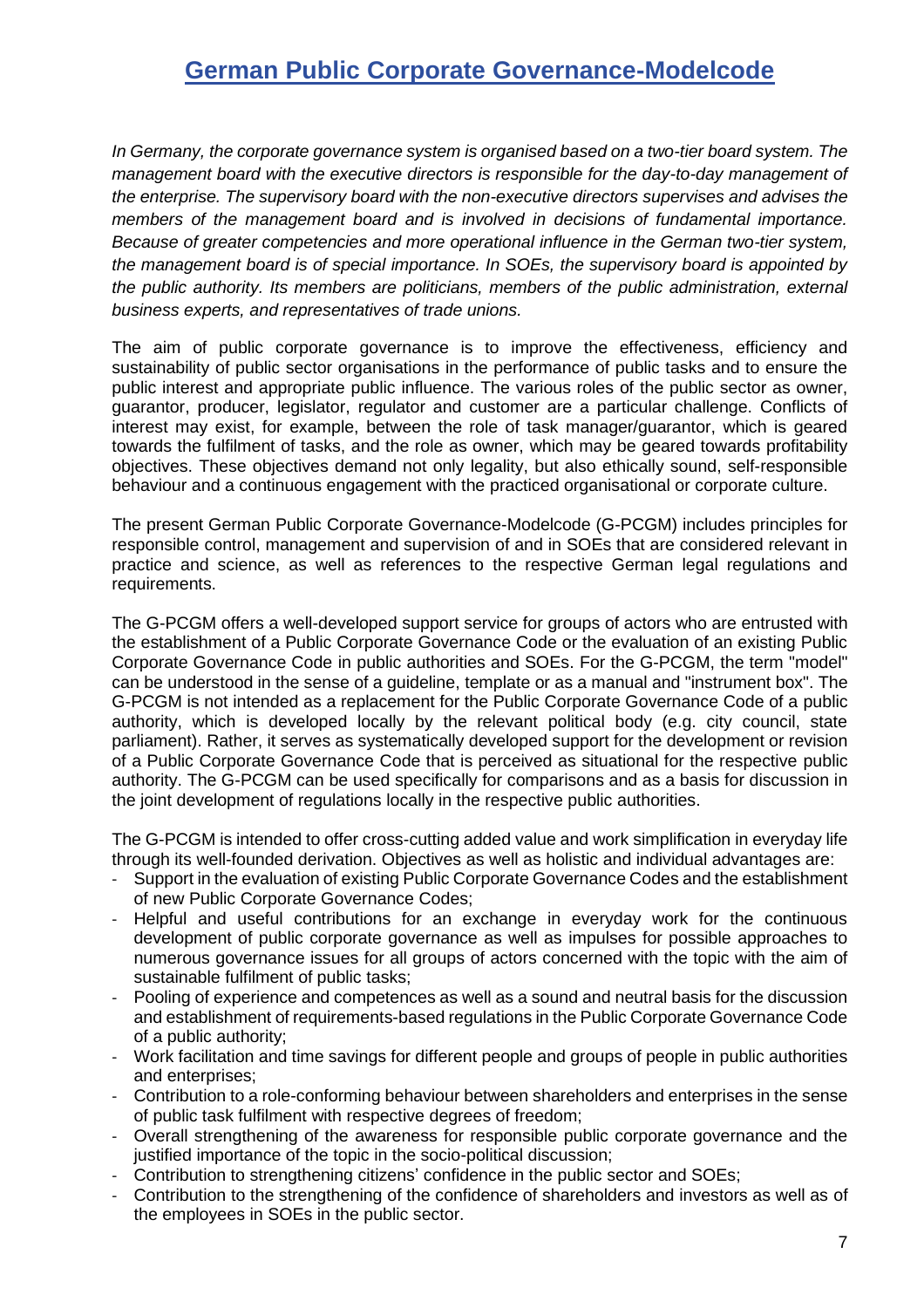*In Germany, the corporate governance system is organised based on a two-tier board system. The management board with the executive directors is responsible for the day-to-day management of the enterprise. The supervisory board with the non-executive directors supervises and advises the members of the management board and is involved in decisions of fundamental importance. Because of greater competencies and more operational influence in the German two-tier system, the management board is of special importance. In SOEs, the supervisory board is appointed by the public authority. Its members are politicians, members of the public administration, external business experts, and representatives of trade unions.*

The aim of public corporate governance is to improve the effectiveness, efficiency and sustainability of public sector organisations in the performance of public tasks and to ensure the public interest and appropriate public influence. The various roles of the public sector as owner, guarantor, producer, legislator, regulator and customer are a particular challenge. Conflicts of interest may exist, for example, between the role of task manager/guarantor, which is geared towards the fulfilment of tasks, and the role as owner, which may be geared towards profitability objectives. These objectives demand not only legality, but also ethically sound, self-responsible behaviour and a continuous engagement with the practiced organisational or corporate culture.

The present German Public Corporate Governance-Modelcode (G-PCGM) includes principles for responsible control, management and supervision of and in SOEs that are considered relevant in practice and science, as well as references to the respective German legal regulations and requirements.

The G-PCGM offers a well-developed support service for groups of actors who are entrusted with the establishment of a Public Corporate Governance Code or the evaluation of an existing Public Corporate Governance Code in public authorities and SOEs. For the G-PCGM, the term "model" can be understood in the sense of a guideline, template or as a manual and "instrument box". The G-PCGM is not intended as a replacement for the Public Corporate Governance Code of a public authority, which is developed locally by the relevant political body (e.g. city council, state parliament). Rather, it serves as systematically developed support for the development or revision of a Public Corporate Governance Code that is perceived as situational for the respective public authority. The G-PCGM can be used specifically for comparisons and as a basis for discussion in the joint development of regulations locally in the respective public authorities.

The G-PCGM is intended to offer cross-cutting added value and work simplification in everyday life through its well-founded derivation. Objectives as well as holistic and individual advantages are:

- Support in the evaluation of existing Public Corporate Governance Codes and the establishment of new Public Corporate Governance Codes;
- Helpful and useful contributions for an exchange in everyday work for the continuous development of public corporate governance as well as impulses for possible approaches to numerous governance issues for all groups of actors concerned with the topic with the aim of sustainable fulfilment of public tasks;
- Pooling of experience and competences as well as a sound and neutral basis for the discussion and establishment of requirements-based regulations in the Public Corporate Governance Code of a public authority;
- Work facilitation and time savings for different people and groups of people in public authorities and enterprises;
- Contribution to a role-conforming behaviour between shareholders and enterprises in the sense of public task fulfilment with respective degrees of freedom;
- Overall strengthening of the awareness for responsible public corporate governance and the justified importance of the topic in the socio-political discussion;
- Contribution to strengthening citizens' confidence in the public sector and SOEs;
- Contribution to the strengthening of the confidence of shareholders and investors as well as of the employees in SOEs in the public sector.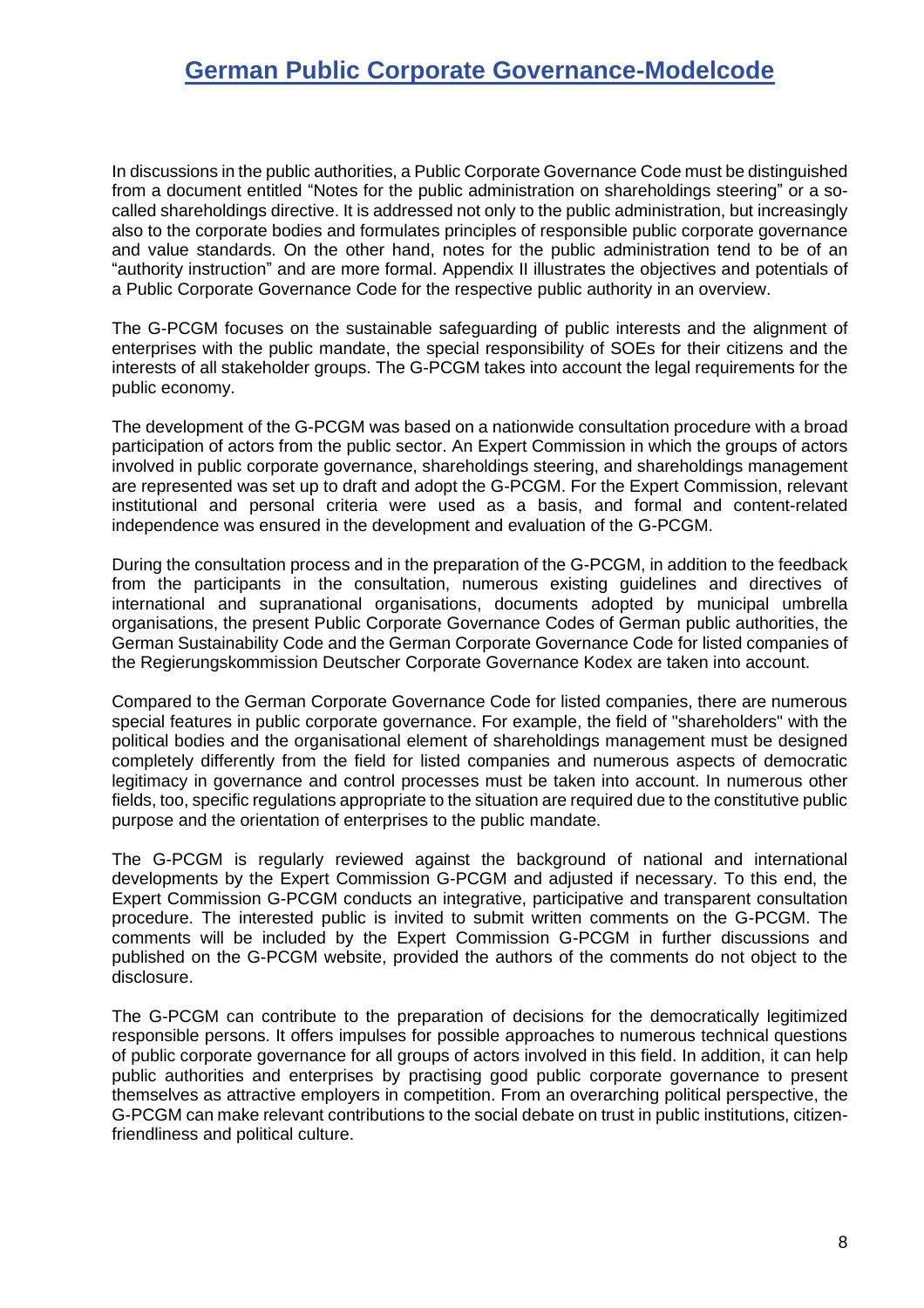In discussions in the public authorities, a Public Corporate Governance Code must be distinguished from a document entitled "Notes for the public administration on shareholdings steering" or a socalled shareholdings directive. It is addressed not only to the public administration, but increasingly also to the corporate bodies and formulates principles of responsible public corporate governance and value standards. On the other hand, notes for the public administration tend to be of an "authority instruction" and are more formal. Appendix II illustrates the objectives and potentials of a Public Corporate Governance Code for the respective public authority in an overview.

The G-PCGM focuses on the sustainable safeguarding of public interests and the alignment of enterprises with the public mandate, the special responsibility of SOEs for their citizens and the interests of all stakeholder groups. The G-PCGM takes into account the legal requirements for the public economy.

The development of the G-PCGM was based on a nationwide consultation procedure with a broad participation of actors from the public sector. An Expert Commission in which the groups of actors involved in public corporate governance, shareholdings steering, and shareholdings management are represented was set up to draft and adopt the G-PCGM. For the Expert Commission, relevant institutional and personal criteria were used as a basis, and formal and content-related independence was ensured in the development and evaluation of the G-PCGM.

During the consultation process and in the preparation of the G-PCGM, in addition to the feedback from the participants in the consultation, numerous existing guidelines and directives of international and supranational organisations, documents adopted by municipal umbrella organisations, the present Public Corporate Governance Codes of German public authorities, the German Sustainability Code and the German Corporate Governance Code for listed companies of the Regierungskommission Deutscher Corporate Governance Kodex are taken into account.

Compared to the German Corporate Governance Code for listed companies, there are numerous special features in public corporate governance. For example, the field of "shareholders" with the political bodies and the organisational element of shareholdings management must be designed completely differently from the field for listed companies and numerous aspects of democratic legitimacy in governance and control processes must be taken into account. In numerous other fields, too, specific regulations appropriate to the situation are required due to the constitutive public purpose and the orientation of enterprises to the public mandate.

The G-PCGM is regularly reviewed against the background of national and international developments by the Expert Commission G-PCGM and adjusted if necessary. To this end, the Expert Commission G-PCGM conducts an integrative, participative and transparent consultation procedure. The interested public is invited to submit written comments on the G-PCGM. The comments will be included by the Expert Commission G-PCGM in further discussions and published on the G-PCGM website, provided the authors of the comments do not object to the disclosure.

The G-PCGM can contribute to the preparation of decisions for the democratically legitimized responsible persons. It offers impulses for possible approaches to numerous technical questions of public corporate governance for all groups of actors involved in this field. In addition, it can help public authorities and enterprises by practising good public corporate governance to present themselves as attractive employers in competition. From an overarching political perspective, the G-PCGM can make relevant contributions to the social debate on trust in public institutions, citizenfriendliness and political culture.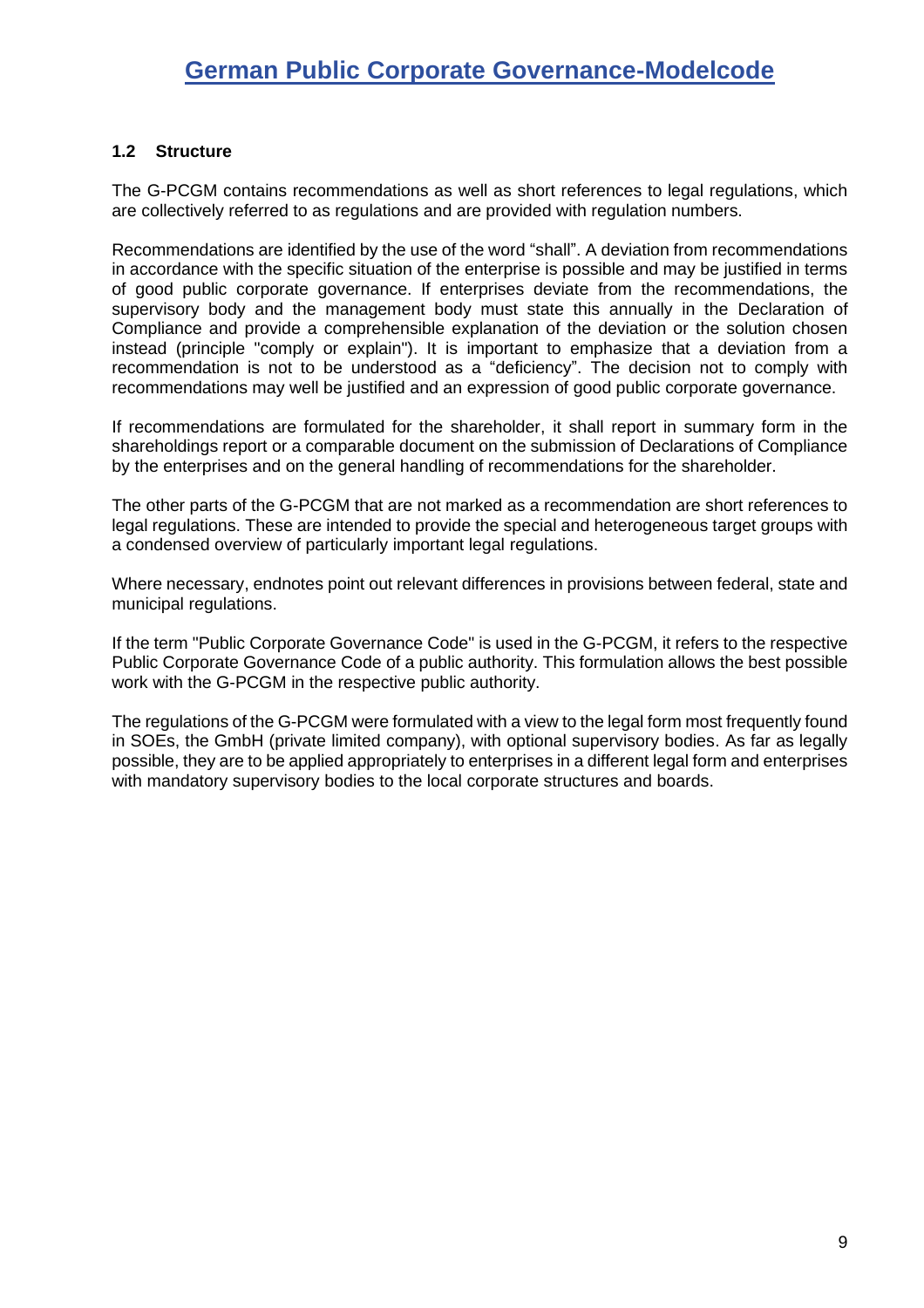#### <span id="page-8-0"></span>**1.2 Structure**

The G-PCGM contains recommendations as well as short references to legal regulations, which are collectively referred to as regulations and are provided with regulation numbers.

Recommendations are identified by the use of the word "shall". A deviation from recommendations in accordance with the specific situation of the enterprise is possible and may be justified in terms of good public corporate governance. If enterprises deviate from the recommendations, the supervisory body and the management body must state this annually in the Declaration of Compliance and provide a comprehensible explanation of the deviation or the solution chosen instead (principle "comply or explain"). It is important to emphasize that a deviation from a recommendation is not to be understood as a "deficiency". The decision not to comply with recommendations may well be justified and an expression of good public corporate governance.

If recommendations are formulated for the shareholder, it shall report in summary form in the shareholdings report or a comparable document on the submission of Declarations of Compliance by the enterprises and on the general handling of recommendations for the shareholder.

The other parts of the G-PCGM that are not marked as a recommendation are short references to legal regulations. These are intended to provide the special and heterogeneous target groups with a condensed overview of particularly important legal regulations.

Where necessary, endnotes point out relevant differences in provisions between federal, state and municipal regulations.

If the term "Public Corporate Governance Code" is used in the G-PCGM, it refers to the respective Public Corporate Governance Code of a public authority. This formulation allows the best possible work with the G-PCGM in the respective public authority.

The regulations of the G-PCGM were formulated with a view to the legal form most frequently found in SOEs, the GmbH (private limited company), with optional supervisory bodies. As far as legally possible, they are to be applied appropriately to enterprises in a different legal form and enterprises with mandatory supervisory bodies to the local corporate structures and boards.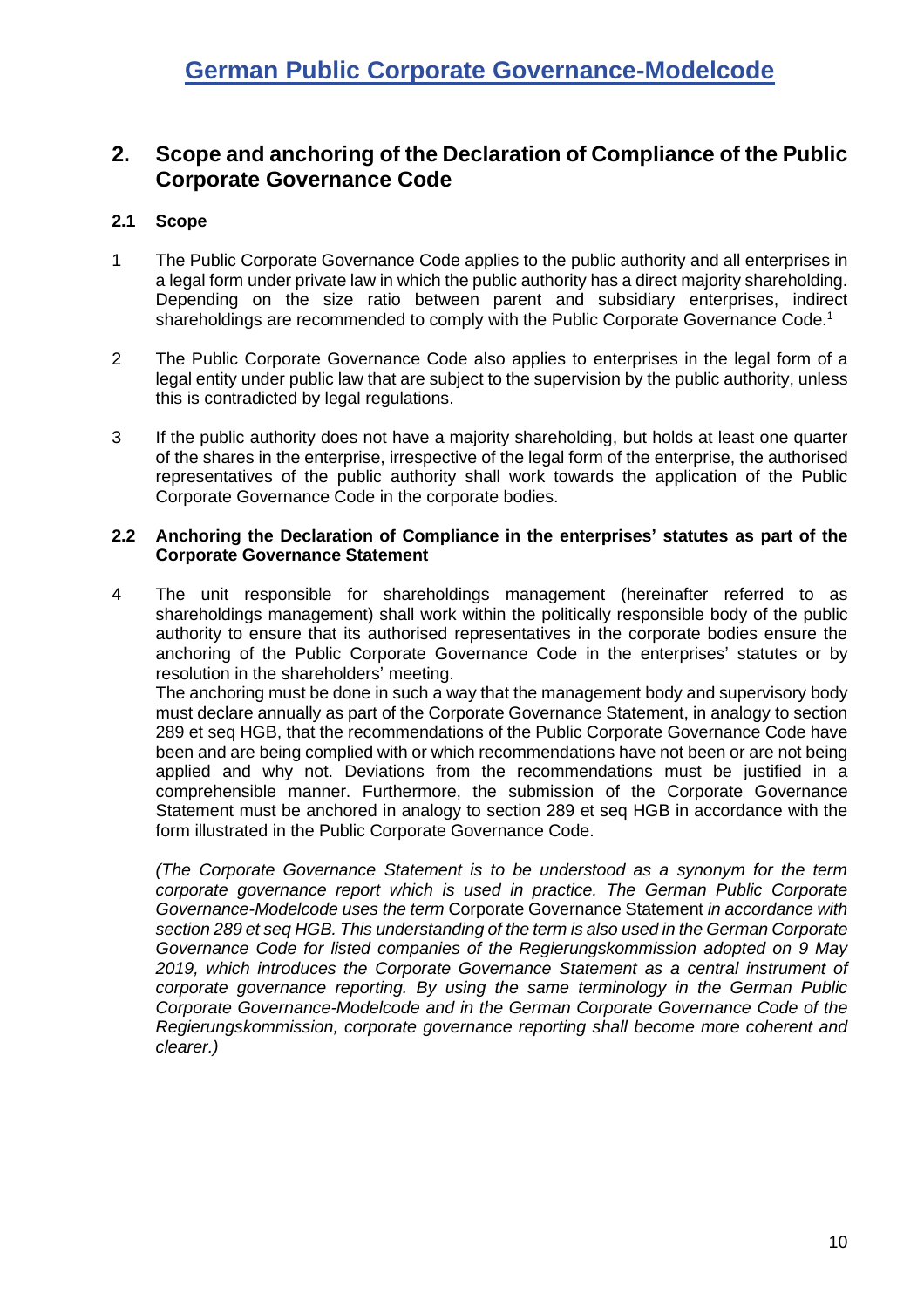### <span id="page-9-0"></span>**2. Scope and anchoring of the Declaration of Compliance of the Public Corporate Governance Code**

#### <span id="page-9-1"></span>**2.1 Scope**

- 1 The Public Corporate Governance Code applies to the public authority and all enterprises in a legal form under private law in which the public authority has a direct majority shareholding. Depending on the size ratio between parent and subsidiary enterprises, indirect shareholdings are recommended to comply with the Public Corporate Governance Code.<sup>1</sup>
- 2 The Public Corporate Governance Code also applies to enterprises in the legal form of a legal entity under public law that are subject to the supervision by the public authority, unless this is contradicted by legal regulations.
- 3 If the public authority does not have a majority shareholding, but holds at least one quarter of the shares in the enterprise, irrespective of the legal form of the enterprise, the authorised representatives of the public authority shall work towards the application of the Public Corporate Governance Code in the corporate bodies.

#### <span id="page-9-2"></span>**2.2 Anchoring the Declaration of Compliance in the enterprises' statutes as part of the Corporate Governance Statement**

4 The unit responsible for shareholdings management (hereinafter referred to as shareholdings management) shall work within the politically responsible body of the public authority to ensure that its authorised representatives in the corporate bodies ensure the anchoring of the Public Corporate Governance Code in the enterprises' statutes or by resolution in the shareholders' meeting.

The anchoring must be done in such a way that the management body and supervisory body must declare annually as part of the Corporate Governance Statement, in analogy to section 289 et seq HGB, that the recommendations of the Public Corporate Governance Code have been and are being complied with or which recommendations have not been or are not being applied and why not. Deviations from the recommendations must be justified in a comprehensible manner. Furthermore, the submission of the Corporate Governance Statement must be anchored in analogy to section 289 et seq HGB in accordance with the form illustrated in the Public Corporate Governance Code.

*(The Corporate Governance Statement is to be understood as a synonym for the term corporate governance report which is used in practice. The German Public Corporate Governance-Modelcode uses the term* Corporate Governance Statement *in accordance with section 289 et seq HGB. This understanding of the term is also used in the German Corporate Governance Code for listed companies of the Regierungskommission adopted on 9 May 2019, which introduces the Corporate Governance Statement as a central instrument of corporate governance reporting. By using the same terminology in the German Public Corporate Governance-Modelcode and in the German Corporate Governance Code of the Regierungskommission, corporate governance reporting shall become more coherent and clearer.)*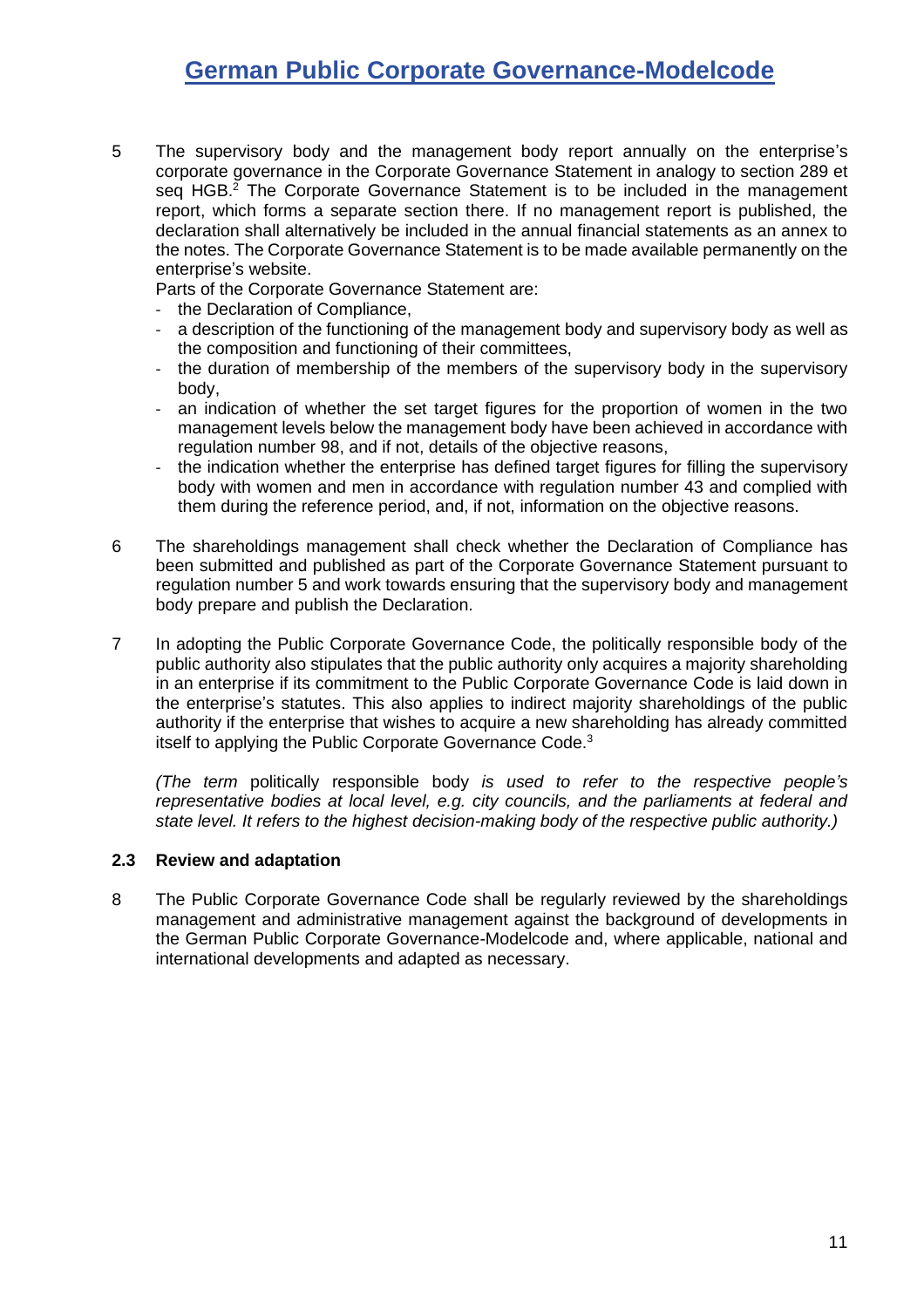<span id="page-10-1"></span>5 The supervisory body and the management body report annually on the enterprise's corporate governance in the Corporate Governance Statement in analogy to section 289 et seq HGB.<sup>2</sup> The Corporate Governance Statement is to be included in the management report, which forms a separate section there. If no management report is published, the declaration shall alternatively be included in the annual financial statements as an annex to the notes. The Corporate Governance Statement is to be made available permanently on the enterprise's website.

Parts of the Corporate Governance Statement are:

- the Declaration of Compliance,
- a description of the functioning of the management body and supervisory body as well as the composition and functioning of their committees,
- the duration of membership of the members of the supervisory body in the supervisory body,
- an indication of whether the set target figures for the proportion of women in the two management levels below the management body have been achieved in accordance with regulation number [98,](#page-24-2) and if not, details of the objective reasons,
- the indication whether the enterprise has defined target figures for filling the supervisory body with women and men in accordance with regulation number [43](#page-17-1) and complied with them during the reference period, and, if not, information on the objective reasons.
- 6 The shareholdings management shall check whether the Declaration of Compliance has been submitted and published as part of the Corporate Governance Statement pursuant to regulation number [5](#page-10-1) and work towards ensuring that the supervisory body and management body prepare and publish the Declaration.
- 7 In adopting the Public Corporate Governance Code, the politically responsible body of the public authority also stipulates that the public authority only acquires a majority shareholding in an enterprise if its commitment to the Public Corporate Governance Code is laid down in the enterprise's statutes. This also applies to indirect majority shareholdings of the public authority if the enterprise that wishes to acquire a new shareholding has already committed itself to applying the Public Corporate Governance Code.<sup>3</sup>

*(The term* politically responsible body *is used to refer to the respective people's representative bodies at local level, e.g. city councils, and the parliaments at federal and state level. It refers to the highest decision-making body of the respective public authority.)*

#### <span id="page-10-0"></span>**2.3 Review and adaptation**

8 The Public Corporate Governance Code shall be regularly reviewed by the shareholdings management and administrative management against the background of developments in the German Public Corporate Governance-Modelcode and, where applicable, national and international developments and adapted as necessary.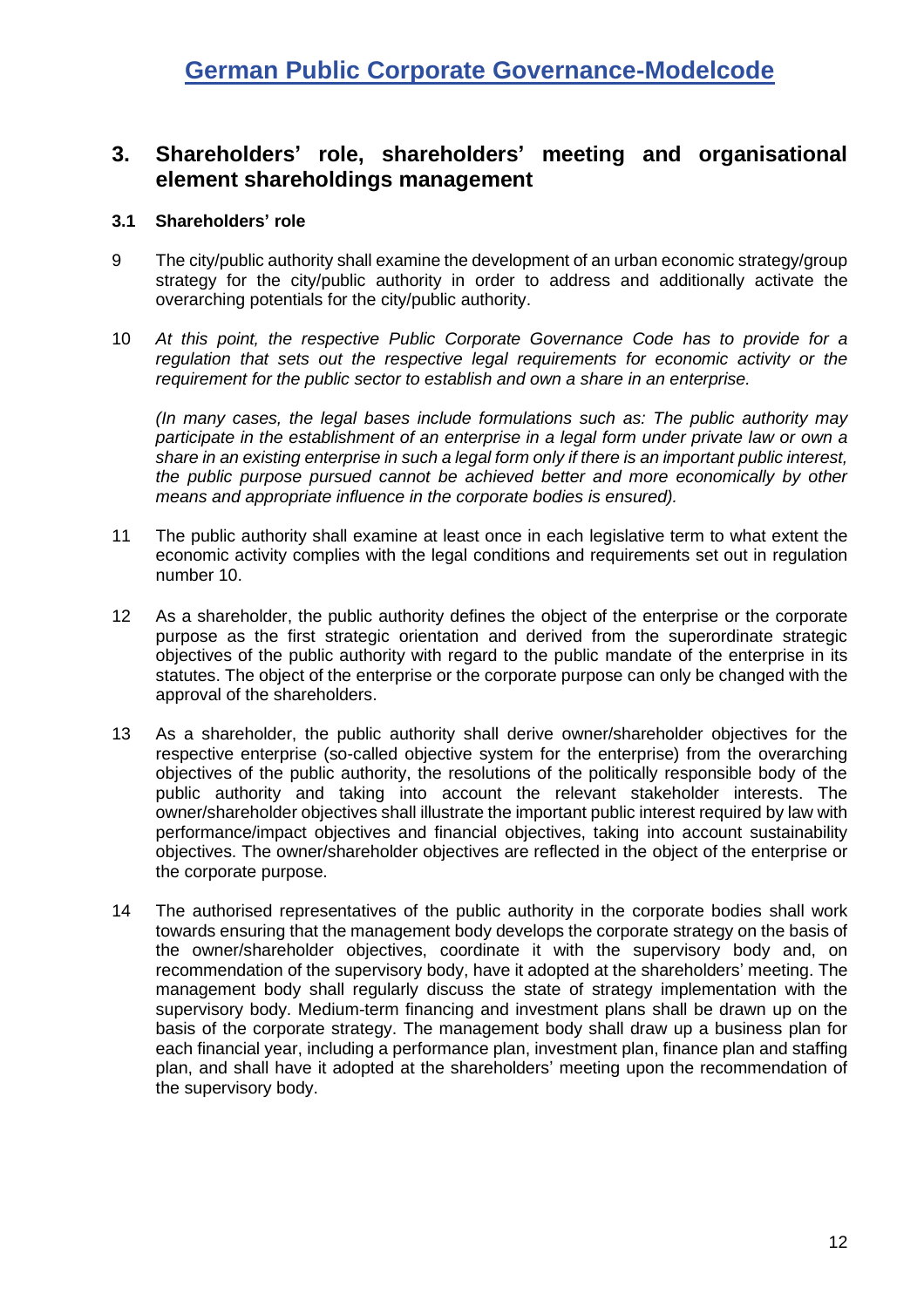### <span id="page-11-0"></span>**3. Shareholders' role, shareholders' meeting and organisational element shareholdings management**

#### <span id="page-11-1"></span>**3.1 Shareholders' role**

- 9 The city/public authority shall examine the development of an urban economic strategy/group strategy for the city/public authority in order to address and additionally activate the overarching potentials for the city/public authority.
- <span id="page-11-2"></span>10 *At this point, the respective Public Corporate Governance Code has to provide for a regulation that sets out the respective legal requirements for economic activity or the requirement for the public sector to establish and own a share in an enterprise.*

*(In many cases, the legal bases include formulations such as: The public authority may participate in the establishment of an enterprise in a legal form under private law or own a share in an existing enterprise in such a legal form only if there is an important public interest, the public purpose pursued cannot be achieved better and more economically by other means and appropriate influence in the corporate bodies is ensured).*

- 11 The public authority shall examine at least once in each legislative term to what extent the economic activity complies with the legal conditions and requirements set out in regulation number [10.](#page-11-2)
- 12 As a shareholder, the public authority defines the object of the enterprise or the corporate purpose as the first strategic orientation and derived from the superordinate strategic objectives of the public authority with regard to the public mandate of the enterprise in its statutes. The object of the enterprise or the corporate purpose can only be changed with the approval of the shareholders.
- 13 As a shareholder, the public authority shall derive owner/shareholder objectives for the respective enterprise (so-called objective system for the enterprise) from the overarching objectives of the public authority, the resolutions of the politically responsible body of the public authority and taking into account the relevant stakeholder interests. The owner/shareholder objectives shall illustrate the important public interest required by law with performance/impact objectives and financial objectives, taking into account sustainability objectives. The owner/shareholder objectives are reflected in the object of the enterprise or the corporate purpose.
- 14 The authorised representatives of the public authority in the corporate bodies shall work towards ensuring that the management body develops the corporate strategy on the basis of the owner/shareholder objectives, coordinate it with the supervisory body and, on recommendation of the supervisory body, have it adopted at the shareholders' meeting. The management body shall regularly discuss the state of strategy implementation with the supervisory body. Medium-term financing and investment plans shall be drawn up on the basis of the corporate strategy. The management body shall draw up a business plan for each financial year, including a performance plan, investment plan, finance plan and staffing plan, and shall have it adopted at the shareholders' meeting upon the recommendation of the supervisory body.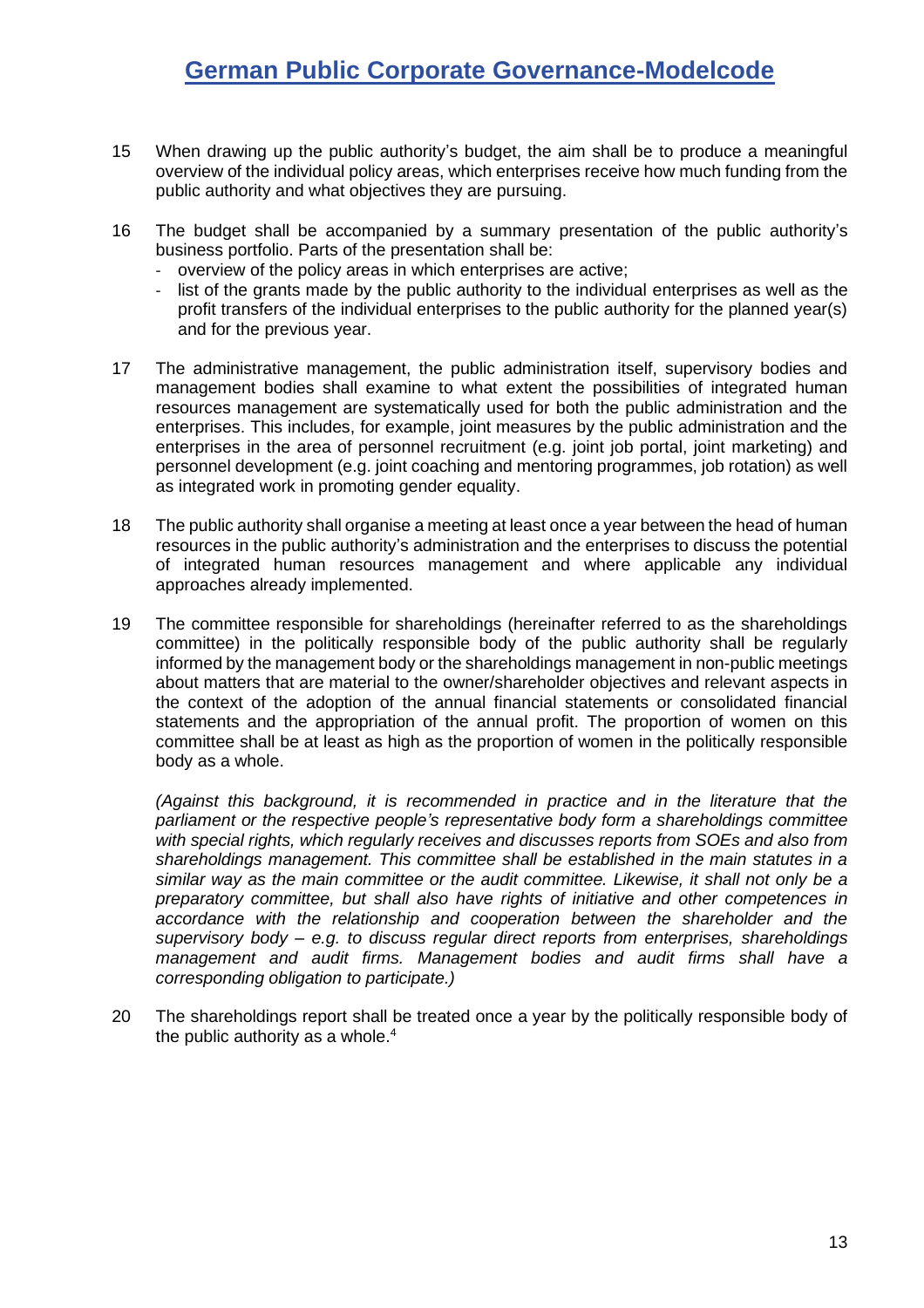- 15 When drawing up the public authority's budget, the aim shall be to produce a meaningful overview of the individual policy areas, which enterprises receive how much funding from the public authority and what objectives they are pursuing.
- 16 The budget shall be accompanied by a summary presentation of the public authority's business portfolio. Parts of the presentation shall be:
	- overview of the policy areas in which enterprises are active;
	- list of the grants made by the public authority to the individual enterprises as well as the profit transfers of the individual enterprises to the public authority for the planned year(s) and for the previous year.
- 17 The administrative management, the public administration itself, supervisory bodies and management bodies shall examine to what extent the possibilities of integrated human resources management are systematically used for both the public administration and the enterprises. This includes, for example, joint measures by the public administration and the enterprises in the area of personnel recruitment (e.g. joint job portal, joint marketing) and personnel development (e.g. joint coaching and mentoring programmes, job rotation) as well as integrated work in promoting gender equality.
- 18 The public authority shall organise a meeting at least once a year between the head of human resources in the public authority's administration and the enterprises to discuss the potential of integrated human resources management and where applicable any individual approaches already implemented.
- 19 The committee responsible for shareholdings (hereinafter referred to as the shareholdings committee) in the politically responsible body of the public authority shall be regularly informed by the management body or the shareholdings management in non-public meetings about matters that are material to the owner/shareholder objectives and relevant aspects in the context of the adoption of the annual financial statements or consolidated financial statements and the appropriation of the annual profit. The proportion of women on this committee shall be at least as high as the proportion of women in the politically responsible body as a whole.

*(Against this background, it is recommended in practice and in the literature that the parliament or the respective people's representative body form a shareholdings committee with special rights, which regularly receives and discusses reports from SOEs and also from shareholdings management. This committee shall be established in the main statutes in a similar way as the main committee or the audit committee. Likewise, it shall not only be a preparatory committee, but shall also have rights of initiative and other competences in accordance with the relationship and cooperation between the shareholder and the supervisory body – e.g. to discuss regular direct reports from enterprises, shareholdings management and audit firms. Management bodies and audit firms shall have a corresponding obligation to participate.)*

20 The shareholdings report shall be treated once a year by the politically responsible body of the public authority as a whole. 4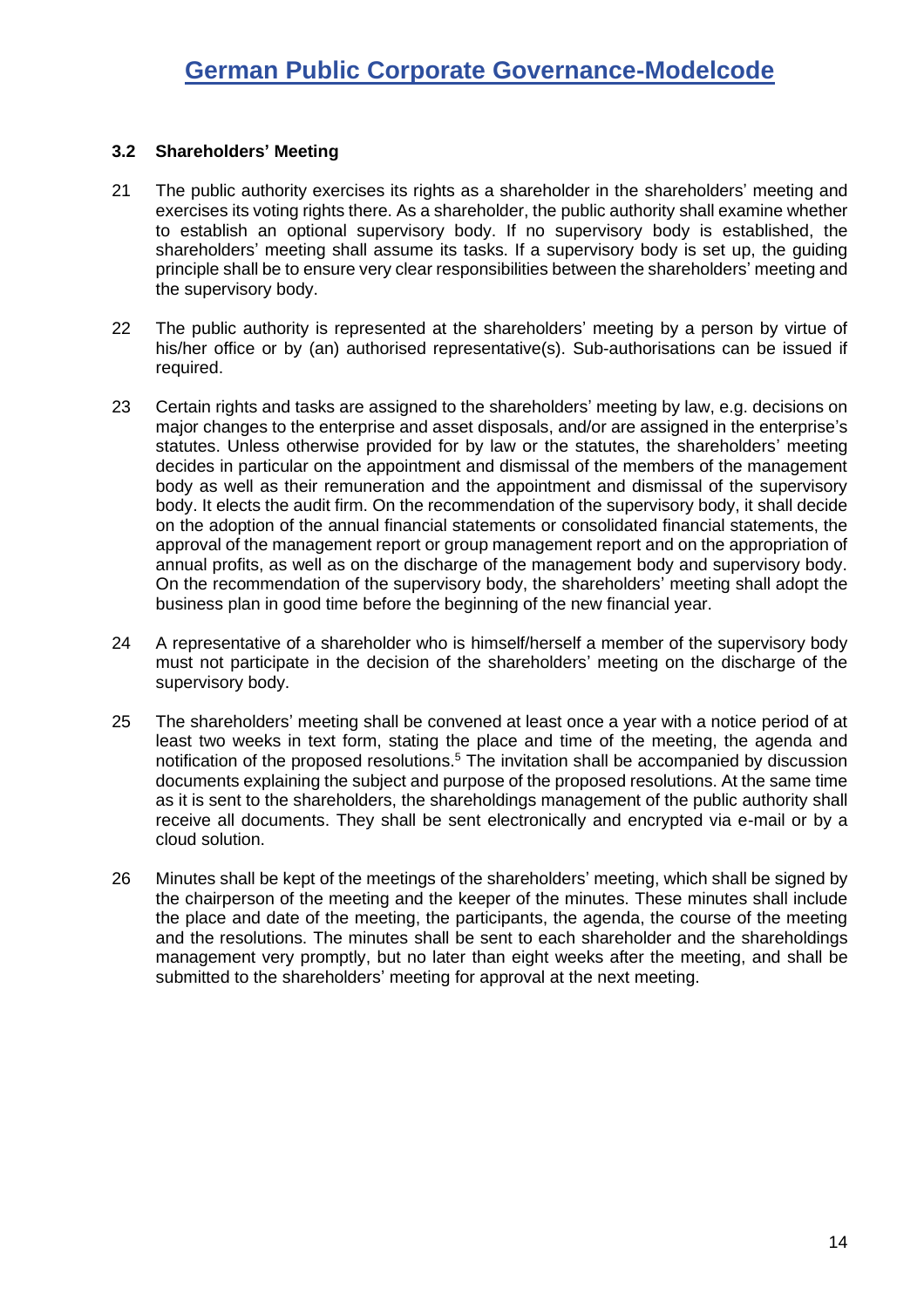#### <span id="page-13-0"></span>**3.2 Shareholders' Meeting**

- 21 The public authority exercises its rights as a shareholder in the shareholders' meeting and exercises its voting rights there. As a shareholder, the public authority shall examine whether to establish an optional supervisory body. If no supervisory body is established, the shareholders' meeting shall assume its tasks. If a supervisory body is set up, the guiding principle shall be to ensure very clear responsibilities between the shareholders' meeting and the supervisory body.
- 22 The public authority is represented at the shareholders' meeting by a person by virtue of his/her office or by (an) authorised representative(s). Sub-authorisations can be issued if required.
- 23 Certain rights and tasks are assigned to the shareholders' meeting by law, e.g. decisions on major changes to the enterprise and asset disposals, and/or are assigned in the enterprise's statutes. Unless otherwise provided for by law or the statutes, the shareholders' meeting decides in particular on the appointment and dismissal of the members of the management body as well as their remuneration and the appointment and dismissal of the supervisory body. It elects the audit firm. On the recommendation of the supervisory body, it shall decide on the adoption of the annual financial statements or consolidated financial statements, the approval of the management report or group management report and on the appropriation of annual profits, as well as on the discharge of the management body and supervisory body. On the recommendation of the supervisory body, the shareholders' meeting shall adopt the business plan in good time before the beginning of the new financial year.
- 24 A representative of a shareholder who is himself/herself a member of the supervisory body must not participate in the decision of the shareholders' meeting on the discharge of the supervisory body.
- 25 The shareholders' meeting shall be convened at least once a year with a notice period of at least two weeks in text form, stating the place and time of the meeting, the agenda and notification of the proposed resolutions.<sup>5</sup> The invitation shall be accompanied by discussion documents explaining the subject and purpose of the proposed resolutions. At the same time as it is sent to the shareholders, the shareholdings management of the public authority shall receive all documents. They shall be sent electronically and encrypted via e-mail or by a cloud solution.
- 26 Minutes shall be kept of the meetings of the shareholders' meeting, which shall be signed by the chairperson of the meeting and the keeper of the minutes. These minutes shall include the place and date of the meeting, the participants, the agenda, the course of the meeting and the resolutions. The minutes shall be sent to each shareholder and the shareholdings management very promptly, but no later than eight weeks after the meeting, and shall be submitted to the shareholders' meeting for approval at the next meeting.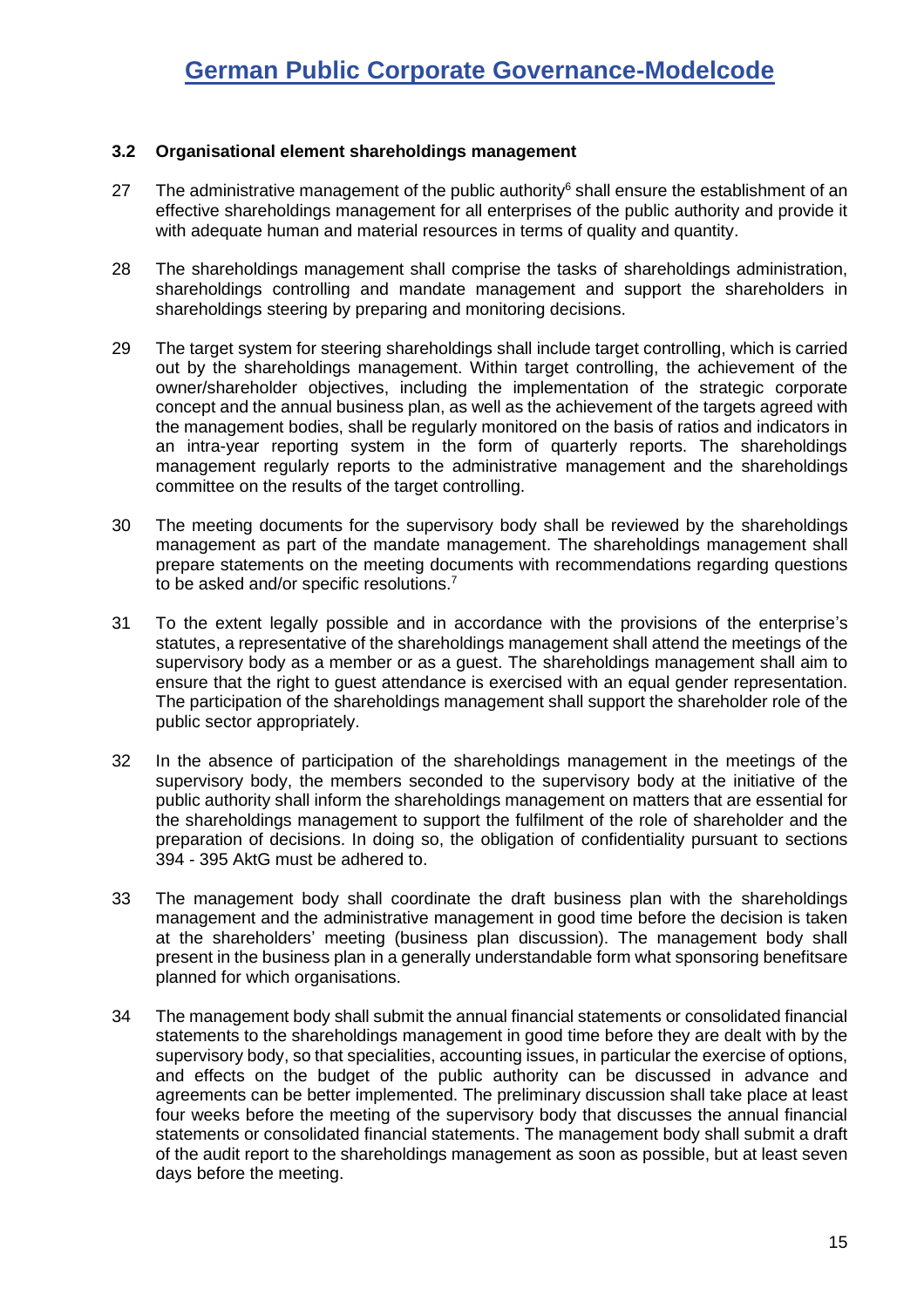#### <span id="page-14-0"></span>**3.2 Organisational element shareholdings management**

- 27 The administrative management of the public authority $\delta$  shall ensure the establishment of an effective shareholdings management for all enterprises of the public authority and provide it with adequate human and material resources in terms of quality and quantity.
- 28 The shareholdings management shall comprise the tasks of shareholdings administration, shareholdings controlling and mandate management and support the shareholders in shareholdings steering by preparing and monitoring decisions.
- 29 The target system for steering shareholdings shall include target controlling, which is carried out by the shareholdings management. Within target controlling, the achievement of the owner/shareholder objectives, including the implementation of the strategic corporate concept and the annual business plan, as well as the achievement of the targets agreed with the management bodies, shall be regularly monitored on the basis of ratios and indicators in an intra-year reporting system in the form of quarterly reports. The shareholdings management regularly reports to the administrative management and the shareholdings committee on the results of the target controlling.
- 30 The meeting documents for the supervisory body shall be reviewed by the shareholdings management as part of the mandate management. The shareholdings management shall prepare statements on the meeting documents with recommendations regarding questions to be asked and/or specific resolutions.<sup>7</sup>
- 31 To the extent legally possible and in accordance with the provisions of the enterprise's statutes, a representative of the shareholdings management shall attend the meetings of the supervisory body as a member or as a guest. The shareholdings management shall aim to ensure that the right to guest attendance is exercised with an equal gender representation. The participation of the shareholdings management shall support the shareholder role of the public sector appropriately.
- 32 In the absence of participation of the shareholdings management in the meetings of the supervisory body, the members seconded to the supervisory body at the initiative of the public authority shall inform the shareholdings management on matters that are essential for the shareholdings management to support the fulfilment of the role of shareholder and the preparation of decisions. In doing so, the obligation of confidentiality pursuant to sections 394 - 395 AktG must be adhered to.
- 33 The management body shall coordinate the draft business plan with the shareholdings management and the administrative management in good time before the decision is taken at the shareholders' meeting (business plan discussion). The management body shall present in the business plan in a generally understandable form what sponsoring benefitsare planned for which organisations.
- 34 The management body shall submit the annual financial statements or consolidated financial statements to the shareholdings management in good time before they are dealt with by the supervisory body, so that specialities, accounting issues, in particular the exercise of options, and effects on the budget of the public authority can be discussed in advance and agreements can be better implemented. The preliminary discussion shall take place at least four weeks before the meeting of the supervisory body that discusses the annual financial statements or consolidated financial statements. The management body shall submit a draft of the audit report to the shareholdings management as soon as possible, but at least seven days before the meeting.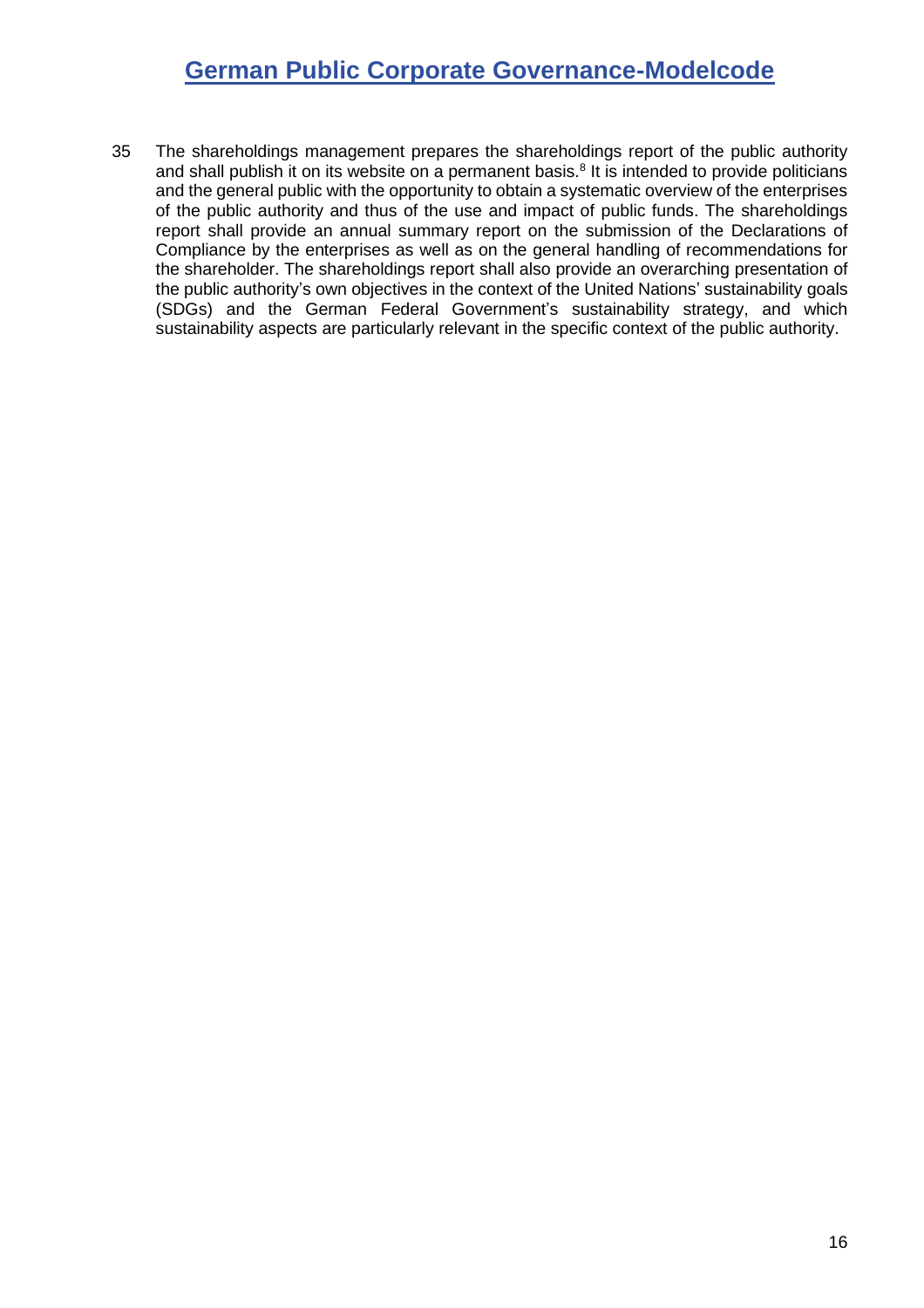35 The shareholdings management prepares the shareholdings report of the public authority and shall publish it on its website on a permanent basis.<sup>8</sup> It is intended to provide politicians and the general public with the opportunity to obtain a systematic overview of the enterprises of the public authority and thus of the use and impact of public funds. The shareholdings report shall provide an annual summary report on the submission of the Declarations of Compliance by the enterprises as well as on the general handling of recommendations for the shareholder. The shareholdings report shall also provide an overarching presentation of the public authority's own objectives in the context of the United Nations' sustainability goals (SDGs) and the German Federal Government's sustainability strategy, and which sustainability aspects are particularly relevant in the specific context of the public authority.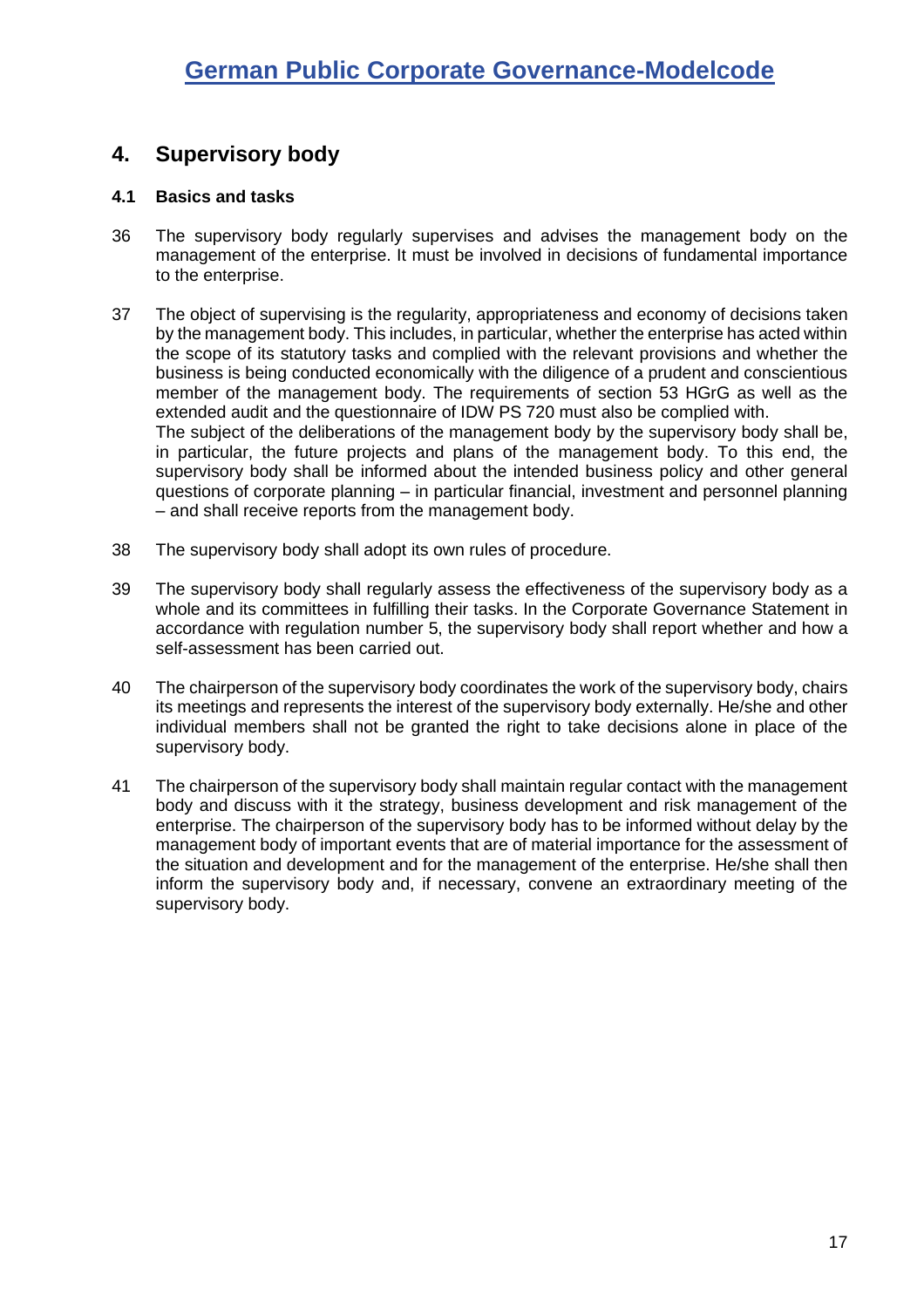## <span id="page-16-0"></span>**4. Supervisory body**

#### <span id="page-16-1"></span>**4.1 Basics and tasks**

- 36 The supervisory body regularly supervises and advises the management body on the management of the enterprise. It must be involved in decisions of fundamental importance to the enterprise.
- 37 The object of supervising is the regularity, appropriateness and economy of decisions taken by the management body. This includes, in particular, whether the enterprise has acted within the scope of its statutory tasks and complied with the relevant provisions and whether the business is being conducted economically with the diligence of a prudent and conscientious member of the management body. The requirements of section 53 HGrG as well as the extended audit and the questionnaire of IDW PS 720 must also be complied with. The subject of the deliberations of the management body by the supervisory body shall be, in particular, the future projects and plans of the management body. To this end, the supervisory body shall be informed about the intended business policy and other general questions of corporate planning – in particular financial, investment and personnel planning – and shall receive reports from the management body.
- <span id="page-16-2"></span>38 The supervisory body shall adopt its own rules of procedure.
- 39 The supervisory body shall regularly assess the effectiveness of the supervisory body as a whole and its committees in fulfilling their tasks. In the Corporate Governance Statement in accordance with regulation number [5,](#page-10-1) the supervisory body shall report whether and how a self-assessment has been carried out.
- 40 The chairperson of the supervisory body coordinates the work of the supervisory body, chairs its meetings and represents the interest of the supervisory body externally. He/she and other individual members shall not be granted the right to take decisions alone in place of the supervisory body.
- 41 The chairperson of the supervisory body shall maintain regular contact with the management body and discuss with it the strategy, business development and risk management of the enterprise. The chairperson of the supervisory body has to be informed without delay by the management body of important events that are of material importance for the assessment of the situation and development and for the management of the enterprise. He/she shall then inform the supervisory body and, if necessary, convene an extraordinary meeting of the supervisory body.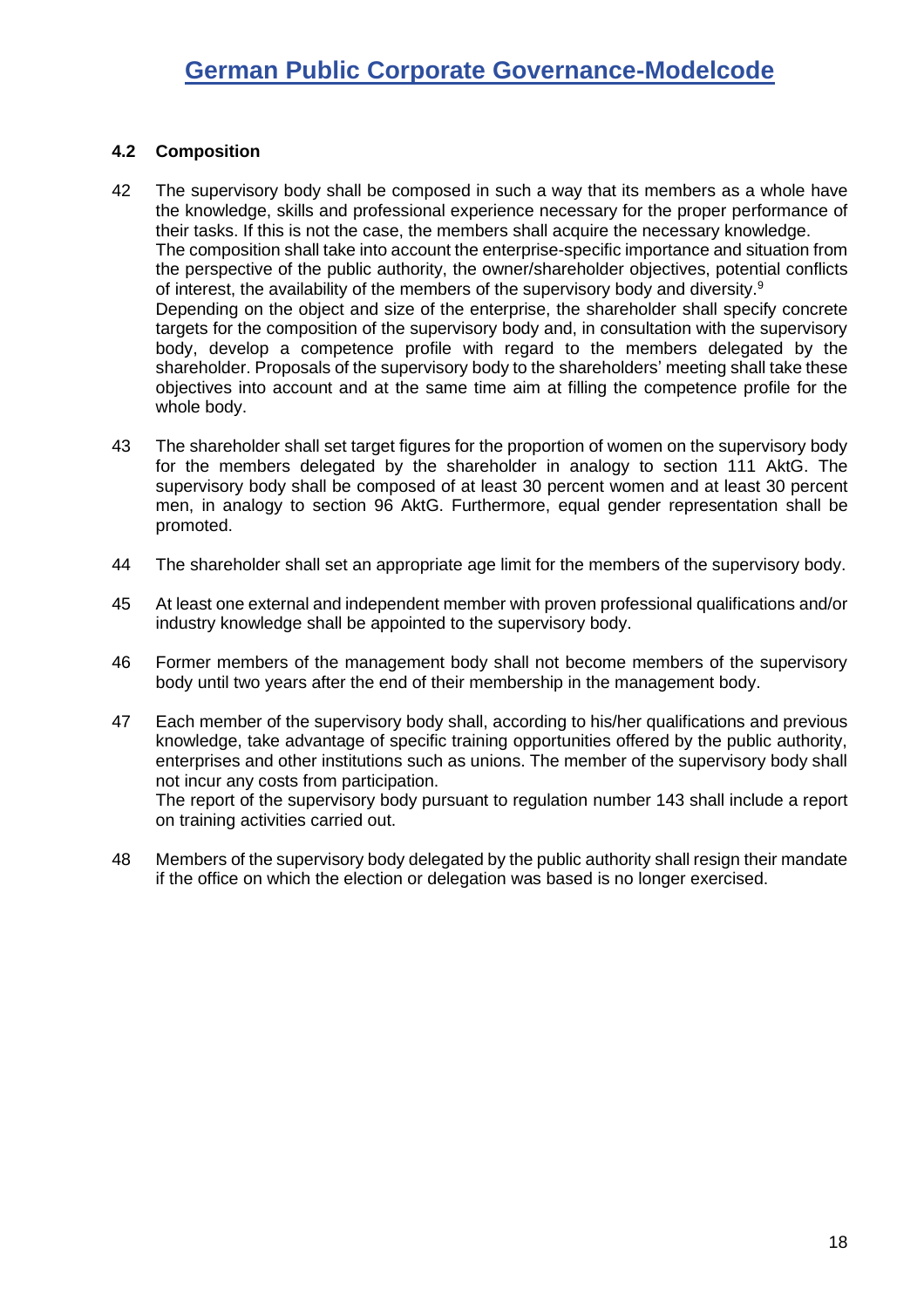#### <span id="page-17-0"></span>**4.2 Composition**

- 42 The supervisory body shall be composed in such a way that its members as a whole have the knowledge, skills and professional experience necessary for the proper performance of their tasks. If this is not the case, the members shall acquire the necessary knowledge. The composition shall take into account the enterprise-specific importance and situation from the perspective of the public authority, the owner/shareholder objectives, potential conflicts of interest, the availability of the members of the supervisory body and diversity.<sup>9</sup> Depending on the object and size of the enterprise, the shareholder shall specify concrete targets for the composition of the supervisory body and, in consultation with the supervisory body, develop a competence profile with regard to the members delegated by the shareholder. Proposals of the supervisory body to the shareholders' meeting shall take these objectives into account and at the same time aim at filling the competence profile for the whole body.
- <span id="page-17-1"></span>43 The shareholder shall set target figures for the proportion of women on the supervisory body for the members delegated by the shareholder in analogy to section 111 AktG. The supervisory body shall be composed of at least 30 percent women and at least 30 percent men, in analogy to section 96 AktG. Furthermore, equal gender representation shall be promoted.
- 44 The shareholder shall set an appropriate age limit for the members of the supervisory body.
- 45 At least one external and independent member with proven professional qualifications and/or industry knowledge shall be appointed to the supervisory body.
- 46 Former members of the management body shall not become members of the supervisory body until two years after the end of their membership in the management body.
- 47 Each member of the supervisory body shall, according to his/her qualifications and previous knowledge, take advantage of specific training opportunities offered by the public authority, enterprises and other institutions such as unions. The member of the supervisory body shall not incur any costs from participation. The report of the supervisory body pursuant to regulation number [143](#page-31-0) shall include a report
- 48 Members of the supervisory body delegated by the public authority shall resign their mandate if the office on which the election or delegation was based is no longer exercised.

on training activities carried out.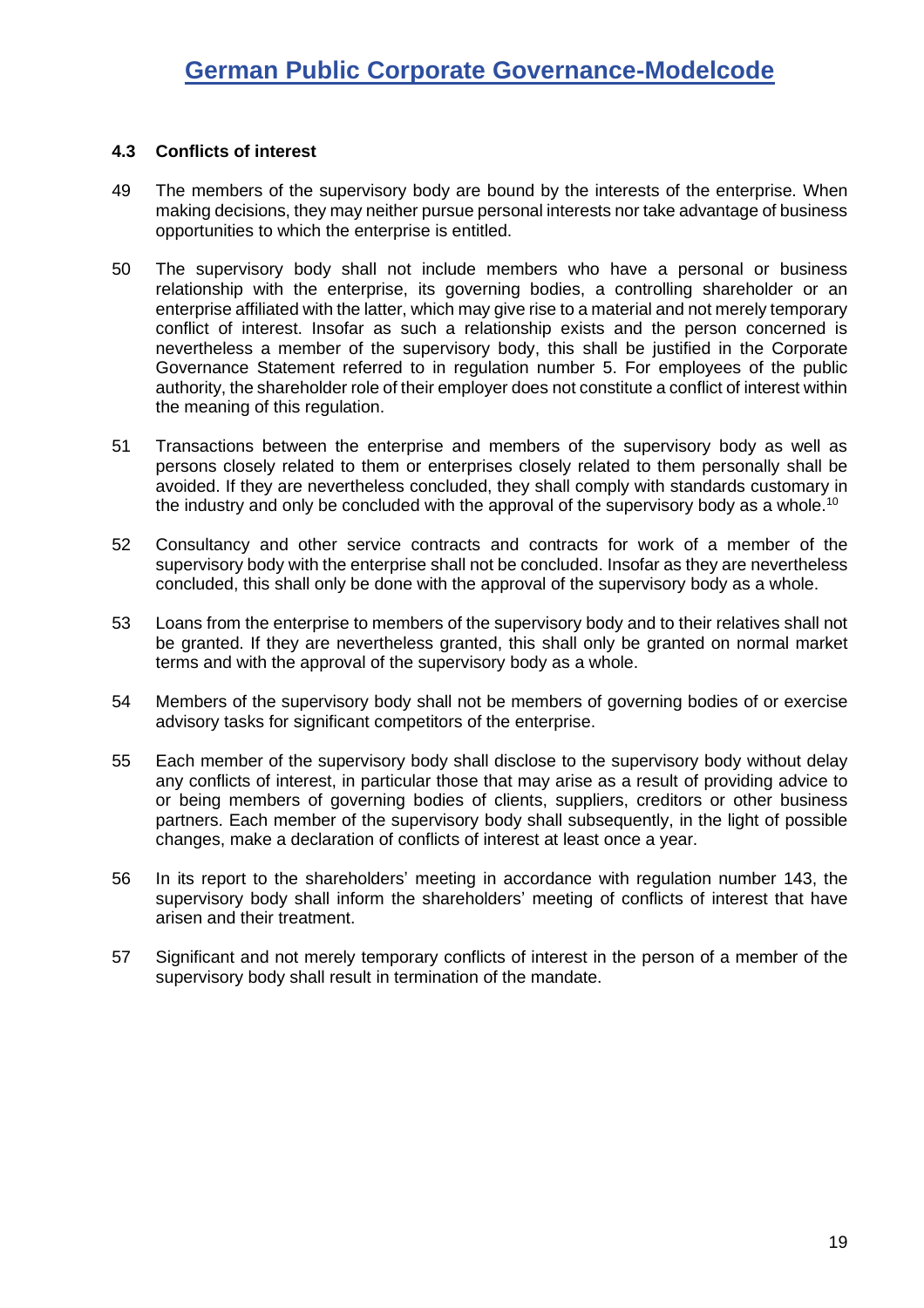#### <span id="page-18-0"></span>**4.3 Conflicts of interest**

- 49 The members of the supervisory body are bound by the interests of the enterprise. When making decisions, they may neither pursue personal interests nor take advantage of business opportunities to which the enterprise is entitled.
- 50 The supervisory body shall not include members who have a personal or business relationship with the enterprise, its governing bodies, a controlling shareholder or an enterprise affiliated with the latter, which may give rise to a material and not merely temporary conflict of interest. Insofar as such a relationship exists and the person concerned is nevertheless a member of the supervisory body, this shall be justified in the Corporate Governance Statement referred to in regulation number [5.](#page-10-1) For employees of the public authority, the shareholder role of their employer does not constitute a conflict of interest within the meaning of this regulation.
- 51 Transactions between the enterprise and members of the supervisory body as well as persons closely related to them or enterprises closely related to them personally shall be avoided. If they are nevertheless concluded, they shall comply with standards customary in the industry and only be concluded with the approval of the supervisory body as a whole.<sup>10</sup>
- 52 Consultancy and other service contracts and contracts for work of a member of the supervisory body with the enterprise shall not be concluded. Insofar as they are nevertheless concluded, this shall only be done with the approval of the supervisory body as a whole.
- 53 Loans from the enterprise to members of the supervisory body and to their relatives shall not be granted. If they are nevertheless granted, this shall only be granted on normal market terms and with the approval of the supervisory body as a whole.
- 54 Members of the supervisory body shall not be members of governing bodies of or exercise advisory tasks for significant competitors of the enterprise.
- 55 Each member of the supervisory body shall disclose to the supervisory body without delay any conflicts of interest, in particular those that may arise as a result of providing advice to or being members of governing bodies of clients, suppliers, creditors or other business partners. Each member of the supervisory body shall subsequently, in the light of possible changes, make a declaration of conflicts of interest at least once a year.
- 56 In its report to the shareholders' meeting in accordance with regulation number [143,](#page-31-0) the supervisory body shall inform the shareholders' meeting of conflicts of interest that have arisen and their treatment.
- 57 Significant and not merely temporary conflicts of interest in the person of a member of the supervisory body shall result in termination of the mandate.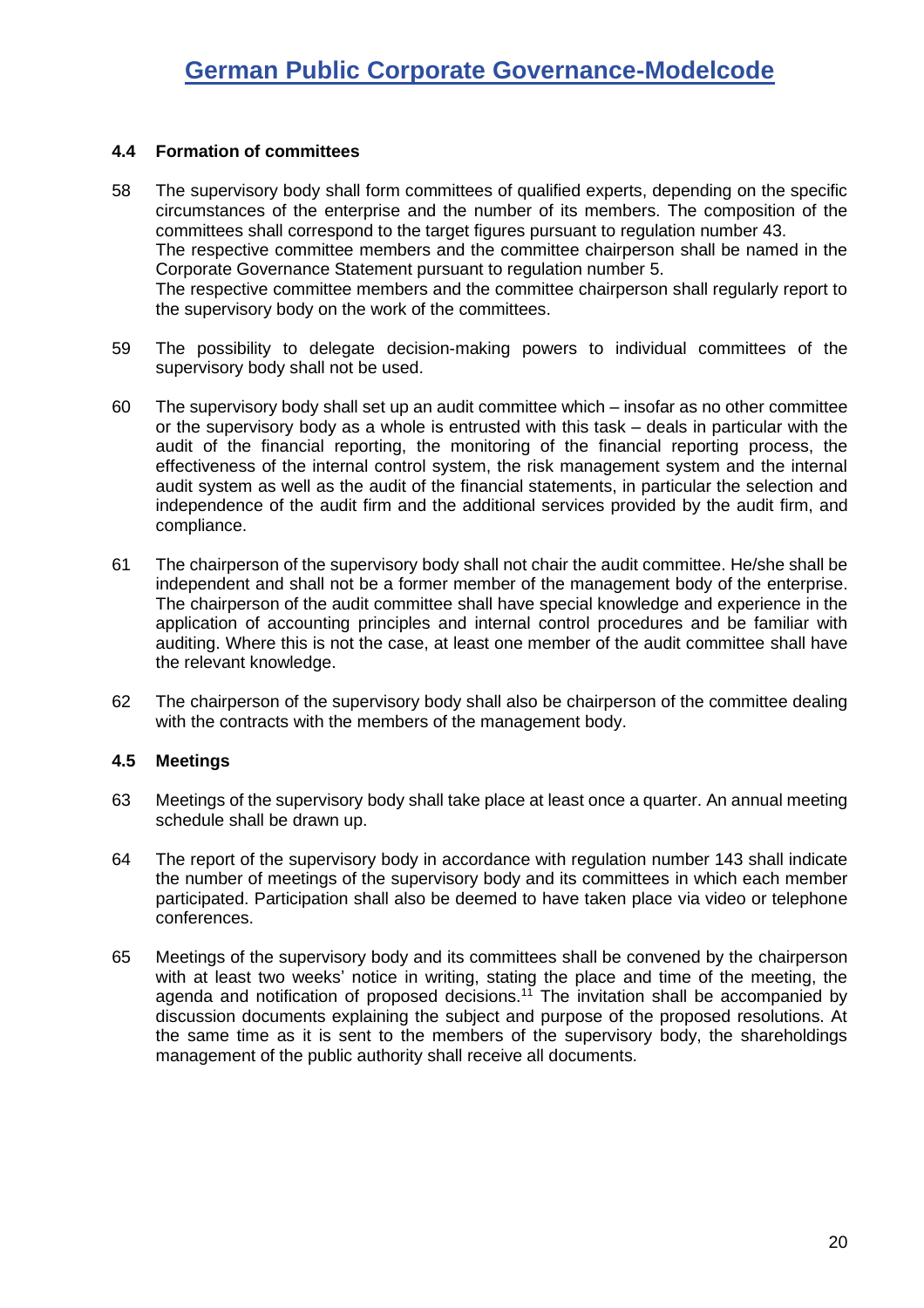#### <span id="page-19-0"></span>**4.4 Formation of committees**

- 58 The supervisory body shall form committees of qualified experts, depending on the specific circumstances of the enterprise and the number of its members. The composition of the committees shall correspond to the target figures pursuant to regulation number [43.](#page-17-1) The respective committee members and the committee chairperson shall be named in the Corporate Governance Statement pursuant to regulation number [5.](#page-10-1) The respective committee members and the committee chairperson shall regularly report to the supervisory body on the work of the committees.
- 59 The possibility to delegate decision-making powers to individual committees of the supervisory body shall not be used.
- 60 The supervisory body shall set up an audit committee which insofar as no other committee or the supervisory body as a whole is entrusted with this task – deals in particular with the audit of the financial reporting, the monitoring of the financial reporting process, the effectiveness of the internal control system, the risk management system and the internal audit system as well as the audit of the financial statements, in particular the selection and independence of the audit firm and the additional services provided by the audit firm, and compliance.
- 61 The chairperson of the supervisory body shall not chair the audit committee. He/she shall be independent and shall not be a former member of the management body of the enterprise. The chairperson of the audit committee shall have special knowledge and experience in the application of accounting principles and internal control procedures and be familiar with auditing. Where this is not the case, at least one member of the audit committee shall have the relevant knowledge.
- 62 The chairperson of the supervisory body shall also be chairperson of the committee dealing with the contracts with the members of the management body.

#### <span id="page-19-1"></span>**4.5 Meetings**

- 63 Meetings of the supervisory body shall take place at least once a quarter. An annual meeting schedule shall be drawn up.
- 64 The report of the supervisory body in accordance with regulation number [143](#page-31-0) shall indicate the number of meetings of the supervisory body and its committees in which each member participated. Participation shall also be deemed to have taken place via video or telephone conferences.
- 65 Meetings of the supervisory body and its committees shall be convened by the chairperson with at least two weeks' notice in writing, stating the place and time of the meeting, the agenda and notification of proposed decisions.<sup>11</sup> The invitation shall be accompanied by discussion documents explaining the subject and purpose of the proposed resolutions. At the same time as it is sent to the members of the supervisory body, the shareholdings management of the public authority shall receive all documents.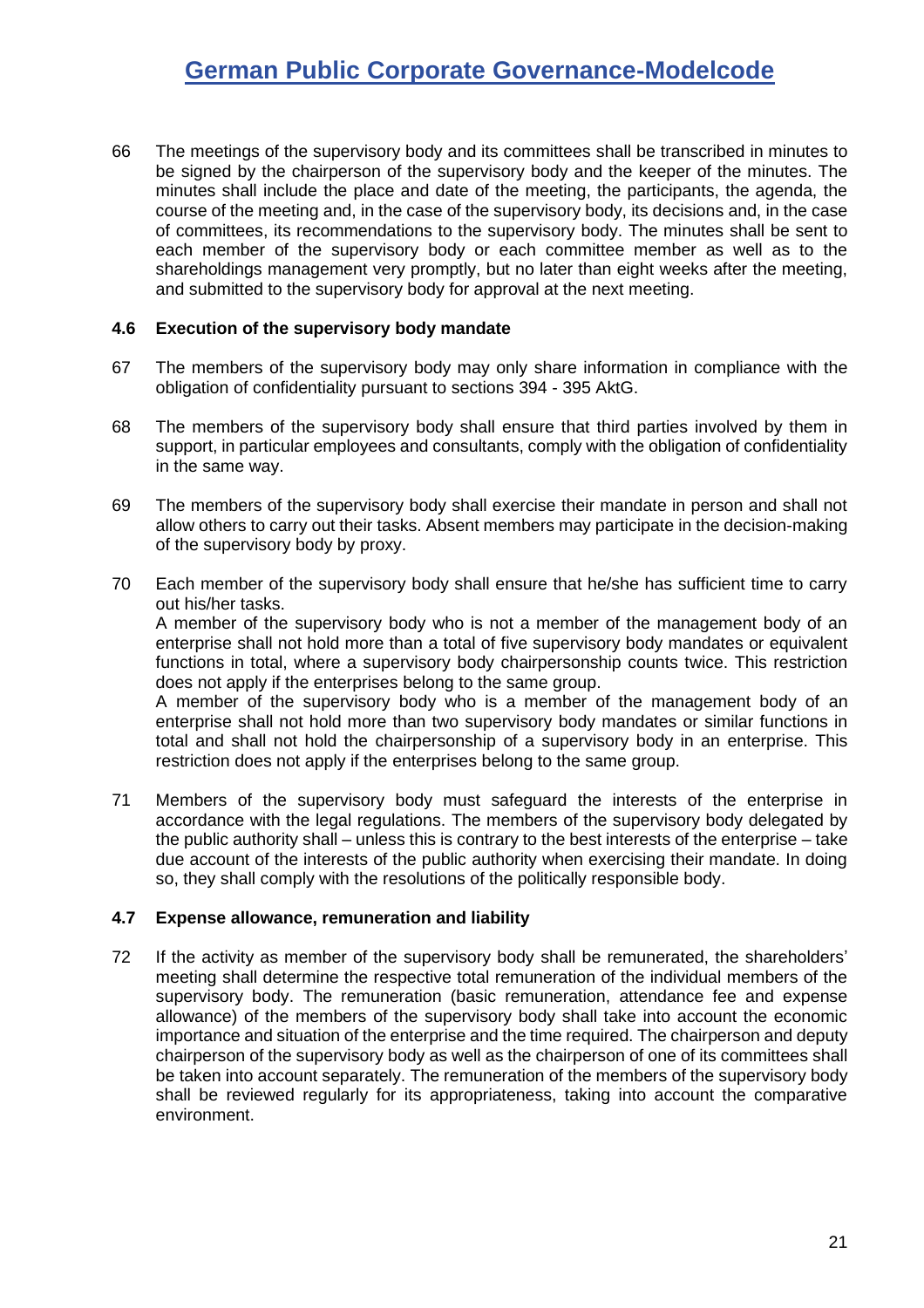66 The meetings of the supervisory body and its committees shall be transcribed in minutes to be signed by the chairperson of the supervisory body and the keeper of the minutes. The minutes shall include the place and date of the meeting, the participants, the agenda, the course of the meeting and, in the case of the supervisory body, its decisions and, in the case of committees, its recommendations to the supervisory body. The minutes shall be sent to each member of the supervisory body or each committee member as well as to the shareholdings management very promptly, but no later than eight weeks after the meeting, and submitted to the supervisory body for approval at the next meeting.

#### <span id="page-20-0"></span>**4.6 Execution of the supervisory body mandate**

- 67 The members of the supervisory body may only share information in compliance with the obligation of confidentiality pursuant to sections 394 - 395 AktG.
- 68 The members of the supervisory body shall ensure that third parties involved by them in support, in particular employees and consultants, comply with the obligation of confidentiality in the same way.
- 69 The members of the supervisory body shall exercise their mandate in person and shall not allow others to carry out their tasks. Absent members may participate in the decision-making of the supervisory body by proxy.
- 70 Each member of the supervisory body shall ensure that he/she has sufficient time to carry out his/her tasks.

A member of the supervisory body who is not a member of the management body of an enterprise shall not hold more than a total of five supervisory body mandates or equivalent functions in total, where a supervisory body chairpersonship counts twice. This restriction does not apply if the enterprises belong to the same group.

A member of the supervisory body who is a member of the management body of an enterprise shall not hold more than two supervisory body mandates or similar functions in total and shall not hold the chairpersonship of a supervisory body in an enterprise. This restriction does not apply if the enterprises belong to the same group.

71 Members of the supervisory body must safeguard the interests of the enterprise in accordance with the legal regulations. The members of the supervisory body delegated by the public authority shall – unless this is contrary to the best interests of the enterprise – take due account of the interests of the public authority when exercising their mandate. In doing so, they shall comply with the resolutions of the politically responsible body.

#### <span id="page-20-1"></span>**4.7 Expense allowance, remuneration and liability**

72 If the activity as member of the supervisory body shall be remunerated, the shareholders' meeting shall determine the respective total remuneration of the individual members of the supervisory body. The remuneration (basic remuneration, attendance fee and expense allowance) of the members of the supervisory body shall take into account the economic importance and situation of the enterprise and the time required. The chairperson and deputy chairperson of the supervisory body as well as the chairperson of one of its committees shall be taken into account separately. The remuneration of the members of the supervisory body shall be reviewed regularly for its appropriateness, taking into account the comparative environment.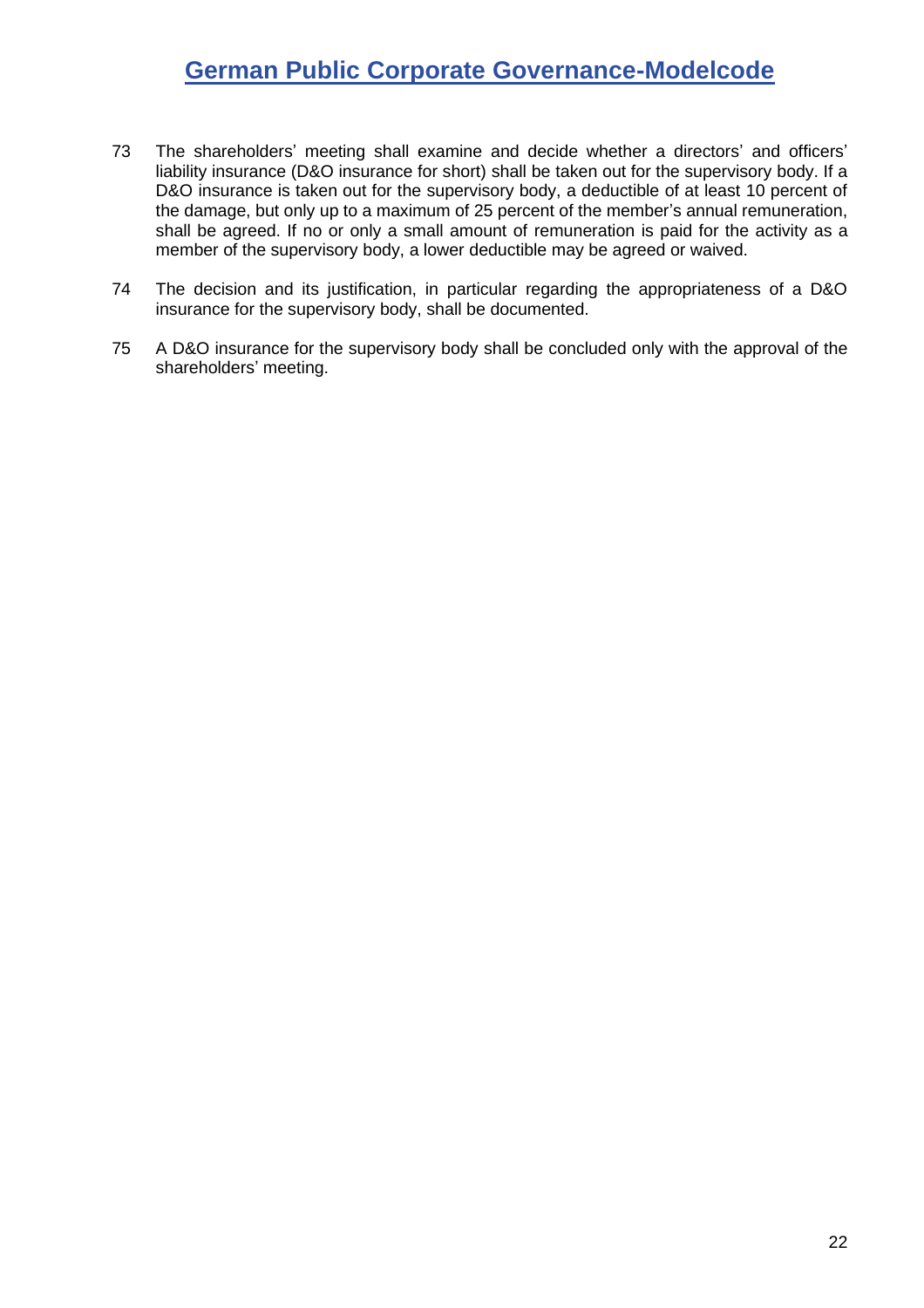- 73 The shareholders' meeting shall examine and decide whether a directors' and officers' liability insurance (D&O insurance for short) shall be taken out for the supervisory body. If a D&O insurance is taken out for the supervisory body, a deductible of at least 10 percent of the damage, but only up to a maximum of 25 percent of the member's annual remuneration, shall be agreed. If no or only a small amount of remuneration is paid for the activity as a member of the supervisory body, a lower deductible may be agreed or waived.
- 74 The decision and its justification, in particular regarding the appropriateness of a D&O insurance for the supervisory body, shall be documented.
- 75 A D&O insurance for the supervisory body shall be concluded only with the approval of the shareholders' meeting.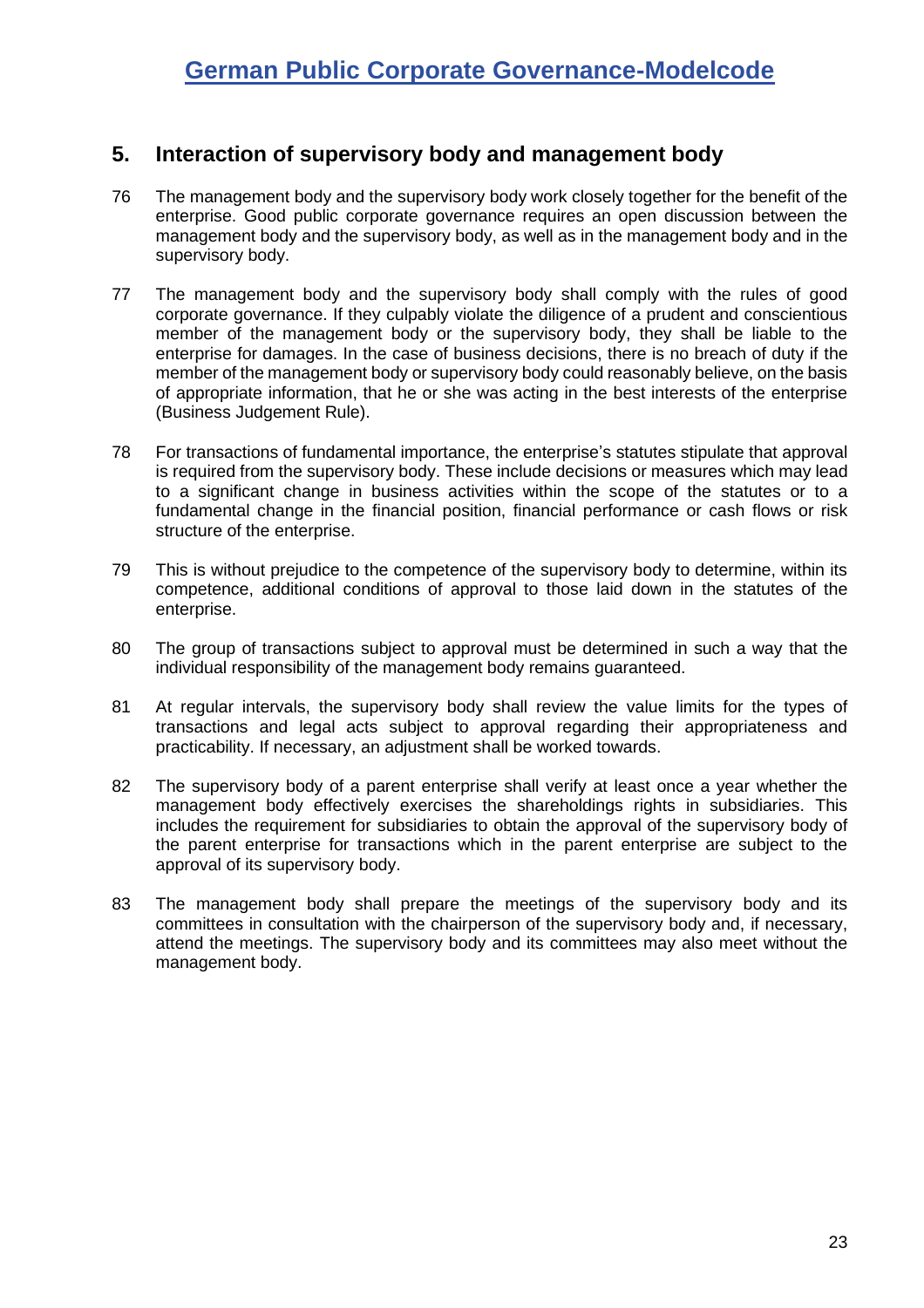## <span id="page-22-0"></span>**5. Interaction of supervisory body and management body**

- 76 The management body and the supervisory body work closely together for the benefit of the enterprise. Good public corporate governance requires an open discussion between the management body and the supervisory body, as well as in the management body and in the supervisory body.
- 77 The management body and the supervisory body shall comply with the rules of good corporate governance. If they culpably violate the diligence of a prudent and conscientious member of the management body or the supervisory body, they shall be liable to the enterprise for damages. In the case of business decisions, there is no breach of duty if the member of the management body or supervisory body could reasonably believe, on the basis of appropriate information, that he or she was acting in the best interests of the enterprise (Business Judgement Rule).
- 78 For transactions of fundamental importance, the enterprise's statutes stipulate that approval is required from the supervisory body. These include decisions or measures which may lead to a significant change in business activities within the scope of the statutes or to a fundamental change in the financial position, financial performance or cash flows or risk structure of the enterprise.
- 79 This is without prejudice to the competence of the supervisory body to determine, within its competence, additional conditions of approval to those laid down in the statutes of the enterprise.
- 80 The group of transactions subject to approval must be determined in such a way that the individual responsibility of the management body remains guaranteed.
- 81 At regular intervals, the supervisory body shall review the value limits for the types of transactions and legal acts subject to approval regarding their appropriateness and practicability. If necessary, an adjustment shall be worked towards.
- 82 The supervisory body of a parent enterprise shall verify at least once a year whether the management body effectively exercises the shareholdings rights in subsidiaries. This includes the requirement for subsidiaries to obtain the approval of the supervisory body of the parent enterprise for transactions which in the parent enterprise are subject to the approval of its supervisory body.
- 83 The management body shall prepare the meetings of the supervisory body and its committees in consultation with the chairperson of the supervisory body and, if necessary, attend the meetings. The supervisory body and its committees may also meet without the management body.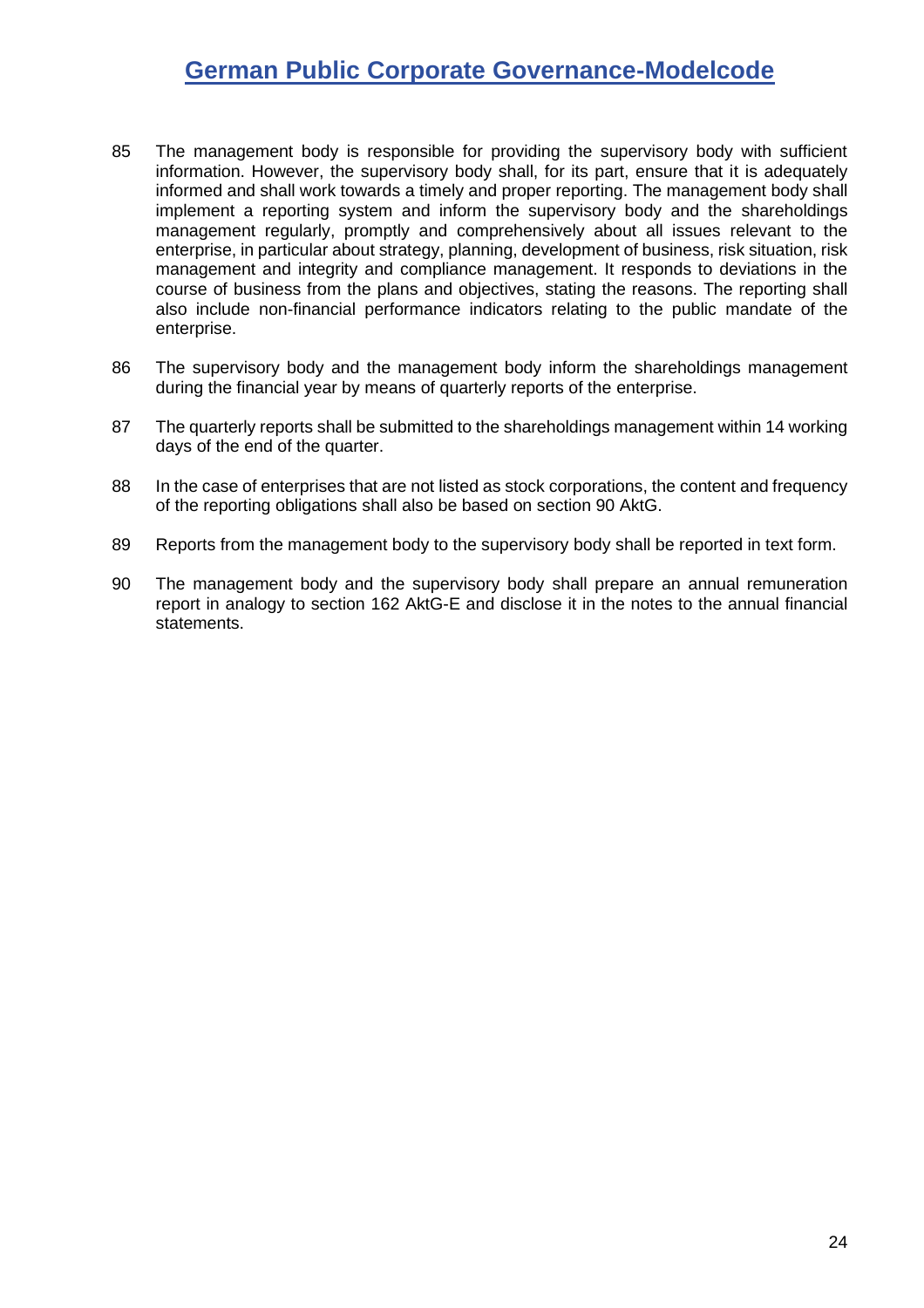- 85 The management body is responsible for providing the supervisory body with sufficient information. However, the supervisory body shall, for its part, ensure that it is adequately informed and shall work towards a timely and proper reporting. The management body shall implement a reporting system and inform the supervisory body and the shareholdings management regularly, promptly and comprehensively about all issues relevant to the enterprise, in particular about strategy, planning, development of business, risk situation, risk management and integrity and compliance management. It responds to deviations in the course of business from the plans and objectives, stating the reasons. The reporting shall also include non-financial performance indicators relating to the public mandate of the enterprise.
- 86 The supervisory body and the management body inform the shareholdings management during the financial year by means of quarterly reports of the enterprise.
- 87 The quarterly reports shall be submitted to the shareholdings management within 14 working days of the end of the quarter.
- 88 In the case of enterprises that are not listed as stock corporations, the content and frequency of the reporting obligations shall also be based on section 90 AktG.
- 89 Reports from the management body to the supervisory body shall be reported in text form.
- <span id="page-23-0"></span>90 The management body and the supervisory body shall prepare an annual remuneration report in analogy to section 162 AktG-E and disclose it in the notes to the annual financial statements.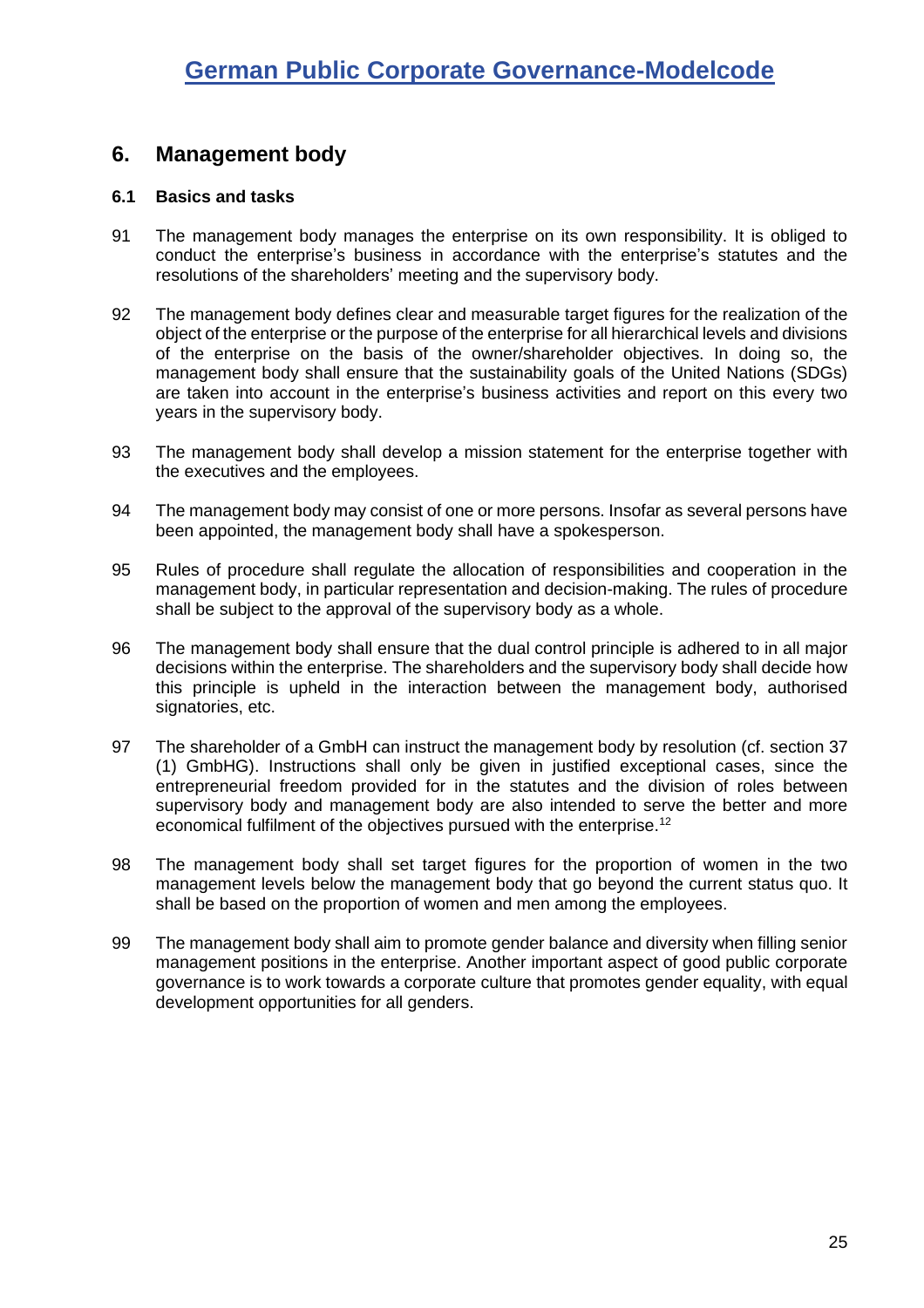## <span id="page-24-0"></span>**6. Management body**

#### <span id="page-24-1"></span>**6.1 Basics and tasks**

- 91 The management body manages the enterprise on its own responsibility. It is obliged to conduct the enterprise's business in accordance with the enterprise's statutes and the resolutions of the shareholders' meeting and the supervisory body.
- 92 The management body defines clear and measurable target figures for the realization of the object of the enterprise or the purpose of the enterprise for all hierarchical levels and divisions of the enterprise on the basis of the owner/shareholder objectives. In doing so, the management body shall ensure that the sustainability goals of the United Nations (SDGs) are taken into account in the enterprise's business activities and report on this every two years in the supervisory body.
- 93 The management body shall develop a mission statement for the enterprise together with the executives and the employees.
- 94 The management body may consist of one or more persons. Insofar as several persons have been appointed, the management body shall have a spokesperson.
- <span id="page-24-3"></span>95 Rules of procedure shall regulate the allocation of responsibilities and cooperation in the management body, in particular representation and decision-making. The rules of procedure shall be subject to the approval of the supervisory body as a whole.
- 96 The management body shall ensure that the dual control principle is adhered to in all major decisions within the enterprise. The shareholders and the supervisory body shall decide how this principle is upheld in the interaction between the management body, authorised signatories, etc.
- 97 The shareholder of a GmbH can instruct the management body by resolution (cf. section 37 (1) GmbHG). Instructions shall only be given in justified exceptional cases, since the entrepreneurial freedom provided for in the statutes and the division of roles between supervisory body and management body are also intended to serve the better and more economical fulfilment of the objectives pursued with the enterprise.<sup>12</sup>
- <span id="page-24-2"></span>98 The management body shall set target figures for the proportion of women in the two management levels below the management body that go beyond the current status quo. It shall be based on the proportion of women and men among the employees.
- 99 The management body shall aim to promote gender balance and diversity when filling senior management positions in the enterprise. Another important aspect of good public corporate governance is to work towards a corporate culture that promotes gender equality, with equal development opportunities for all genders.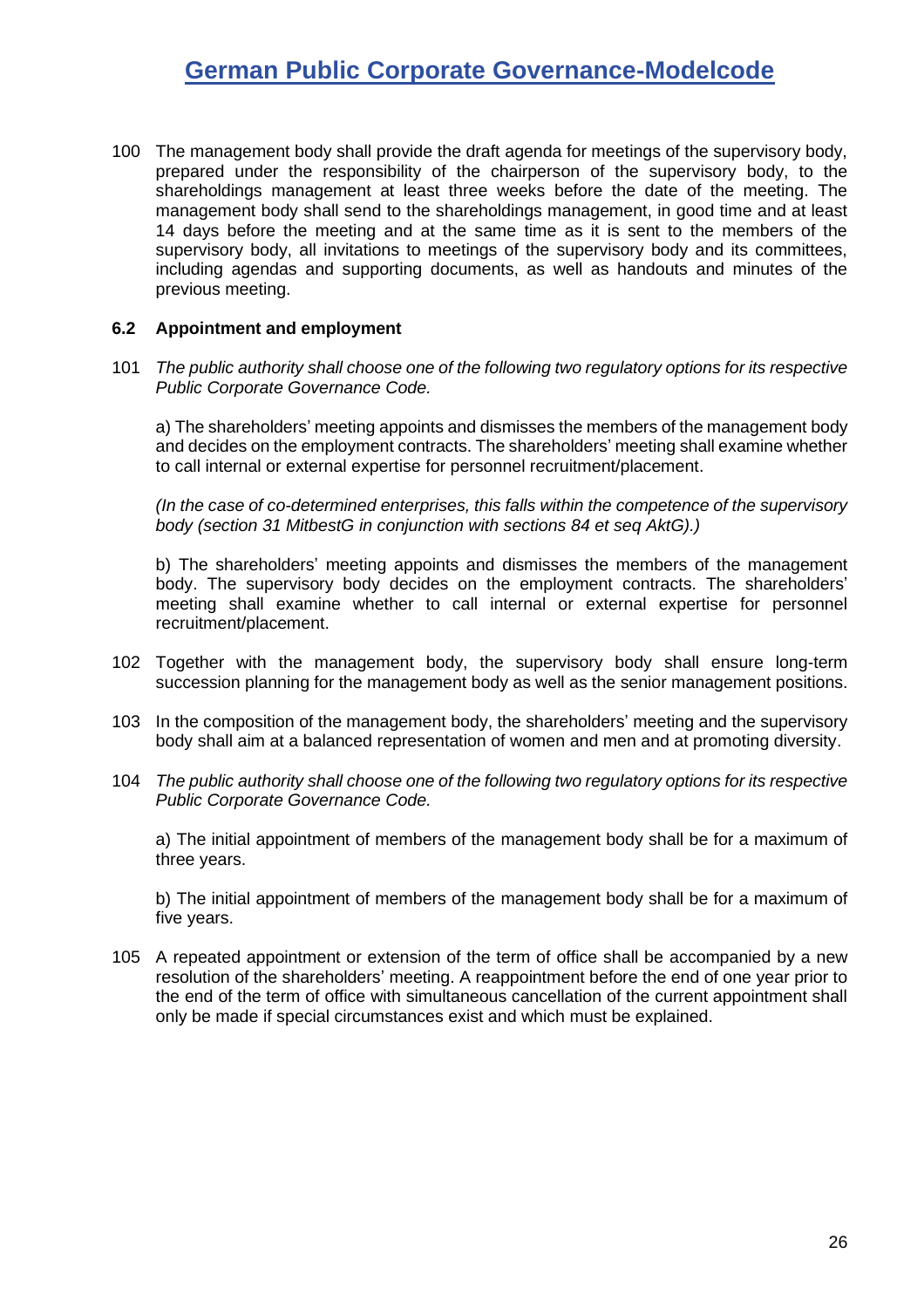100 The management body shall provide the draft agenda for meetings of the supervisory body, prepared under the responsibility of the chairperson of the supervisory body, to the shareholdings management at least three weeks before the date of the meeting. The management body shall send to the shareholdings management, in good time and at least 14 days before the meeting and at the same time as it is sent to the members of the supervisory body, all invitations to meetings of the supervisory body and its committees, including agendas and supporting documents, as well as handouts and minutes of the previous meeting.

#### <span id="page-25-0"></span>**6.2 Appointment and employment**

101 *The public authority shall choose one of the following two regulatory options for its respective Public Corporate Governance Code.*

a) The shareholders' meeting appoints and dismisses the members of the management body and decides on the employment contracts. The shareholders' meeting shall examine whether to call internal or external expertise for personnel recruitment/placement.

*(In the case of co-determined enterprises, this falls within the competence of the supervisory body (section 31 MitbestG in conjunction with sections 84 et seq AktG).)*

b) The shareholders' meeting appoints and dismisses the members of the management body. The supervisory body decides on the employment contracts. The shareholders' meeting shall examine whether to call internal or external expertise for personnel recruitment/placement.

- 102 Together with the management body, the supervisory body shall ensure long-term succession planning for the management body as well as the senior management positions.
- 103 In the composition of the management body, the shareholders' meeting and the supervisory body shall aim at a balanced representation of women and men and at promoting diversity.
- 104 *The public authority shall choose one of the following two regulatory options for its respective Public Corporate Governance Code.*

a) The initial appointment of members of the management body shall be for a maximum of three years.

b) The initial appointment of members of the management body shall be for a maximum of five years.

105 A repeated appointment or extension of the term of office shall be accompanied by a new resolution of the shareholders' meeting. A reappointment before the end of one year prior to the end of the term of office with simultaneous cancellation of the current appointment shall only be made if special circumstances exist and which must be explained.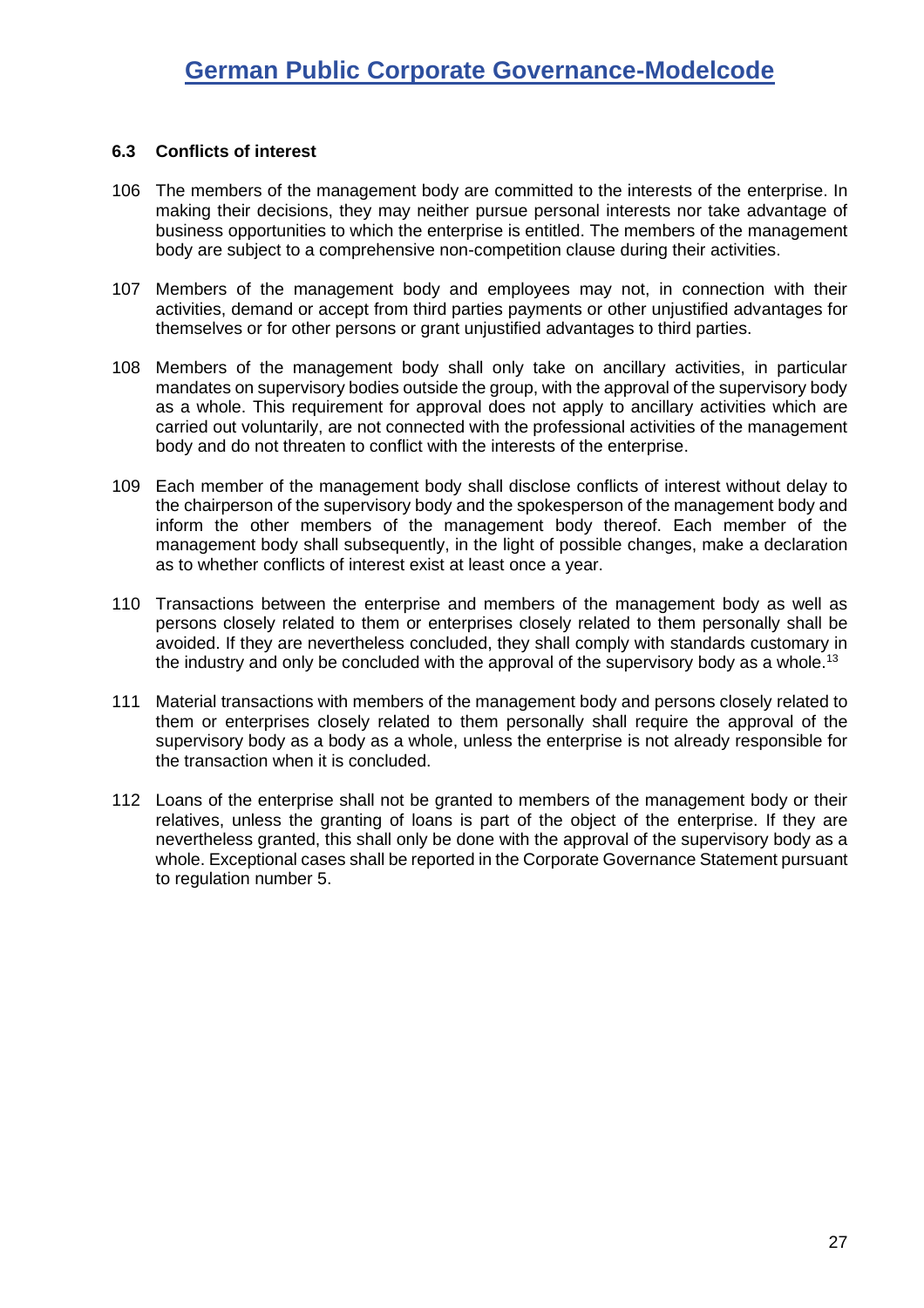#### <span id="page-26-0"></span>**6.3 Conflicts of interest**

- 106 The members of the management body are committed to the interests of the enterprise. In making their decisions, they may neither pursue personal interests nor take advantage of business opportunities to which the enterprise is entitled. The members of the management body are subject to a comprehensive non-competition clause during their activities.
- 107 Members of the management body and employees may not, in connection with their activities, demand or accept from third parties payments or other unjustified advantages for themselves or for other persons or grant unjustified advantages to third parties.
- 108 Members of the management body shall only take on ancillary activities, in particular mandates on supervisory bodies outside the group, with the approval of the supervisory body as a whole. This requirement for approval does not apply to ancillary activities which are carried out voluntarily, are not connected with the professional activities of the management body and do not threaten to conflict with the interests of the enterprise.
- 109 Each member of the management body shall disclose conflicts of interest without delay to the chairperson of the supervisory body and the spokesperson of the management body and inform the other members of the management body thereof. Each member of the management body shall subsequently, in the light of possible changes, make a declaration as to whether conflicts of interest exist at least once a year.
- 110 Transactions between the enterprise and members of the management body as well as persons closely related to them or enterprises closely related to them personally shall be avoided. If they are nevertheless concluded, they shall comply with standards customary in the industry and only be concluded with the approval of the supervisory body as a whole.<sup>13</sup>
- 111 Material transactions with members of the management body and persons closely related to them or enterprises closely related to them personally shall require the approval of the supervisory body as a body as a whole, unless the enterprise is not already responsible for the transaction when it is concluded.
- 112 Loans of the enterprise shall not be granted to members of the management body or their relatives, unless the granting of loans is part of the object of the enterprise. If they are nevertheless granted, this shall only be done with the approval of the supervisory body as a whole. Exceptional cases shall be reported in the Corporate Governance Statement pursuant to regulation number [5.](#page-10-1)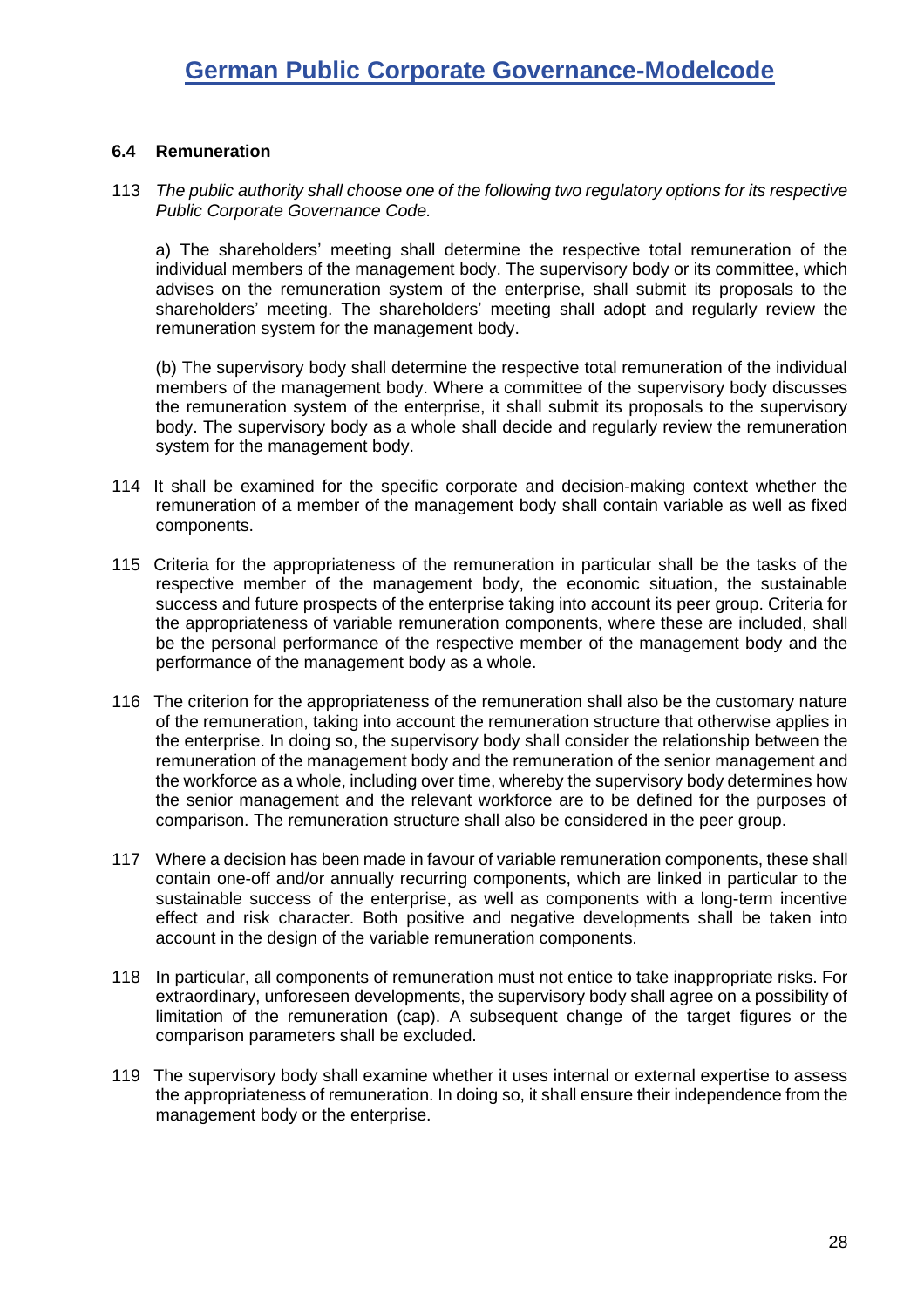#### <span id="page-27-0"></span>**6.4 Remuneration**

113 *The public authority shall choose one of the following two regulatory options for its respective Public Corporate Governance Code.*

a) The shareholders' meeting shall determine the respective total remuneration of the individual members of the management body. The supervisory body or its committee, which advises on the remuneration system of the enterprise, shall submit its proposals to the shareholders' meeting. The shareholders' meeting shall adopt and regularly review the remuneration system for the management body.

(b) The supervisory body shall determine the respective total remuneration of the individual members of the management body. Where a committee of the supervisory body discusses the remuneration system of the enterprise, it shall submit its proposals to the supervisory body. The supervisory body as a whole shall decide and regularly review the remuneration system for the management body.

- 114 It shall be examined for the specific corporate and decision-making context whether the remuneration of a member of the management body shall contain variable as well as fixed components.
- 115 Criteria for the appropriateness of the remuneration in particular shall be the tasks of the respective member of the management body, the economic situation, the sustainable success and future prospects of the enterprise taking into account its peer group. Criteria for the appropriateness of variable remuneration components, where these are included, shall be the personal performance of the respective member of the management body and the performance of the management body as a whole.
- 116 The criterion for the appropriateness of the remuneration shall also be the customary nature of the remuneration, taking into account the remuneration structure that otherwise applies in the enterprise. In doing so, the supervisory body shall consider the relationship between the remuneration of the management body and the remuneration of the senior management and the workforce as a whole, including over time, whereby the supervisory body determines how the senior management and the relevant workforce are to be defined for the purposes of comparison. The remuneration structure shall also be considered in the peer group.
- 117 Where a decision has been made in favour of variable remuneration components, these shall contain one-off and/or annually recurring components, which are linked in particular to the sustainable success of the enterprise, as well as components with a long-term incentive effect and risk character. Both positive and negative developments shall be taken into account in the design of the variable remuneration components.
- 118 In particular, all components of remuneration must not entice to take inappropriate risks. For extraordinary, unforeseen developments, the supervisory body shall agree on a possibility of limitation of the remuneration (cap). A subsequent change of the target figures or the comparison parameters shall be excluded.
- 119 The supervisory body shall examine whether it uses internal or external expertise to assess the appropriateness of remuneration. In doing so, it shall ensure their independence from the management body or the enterprise.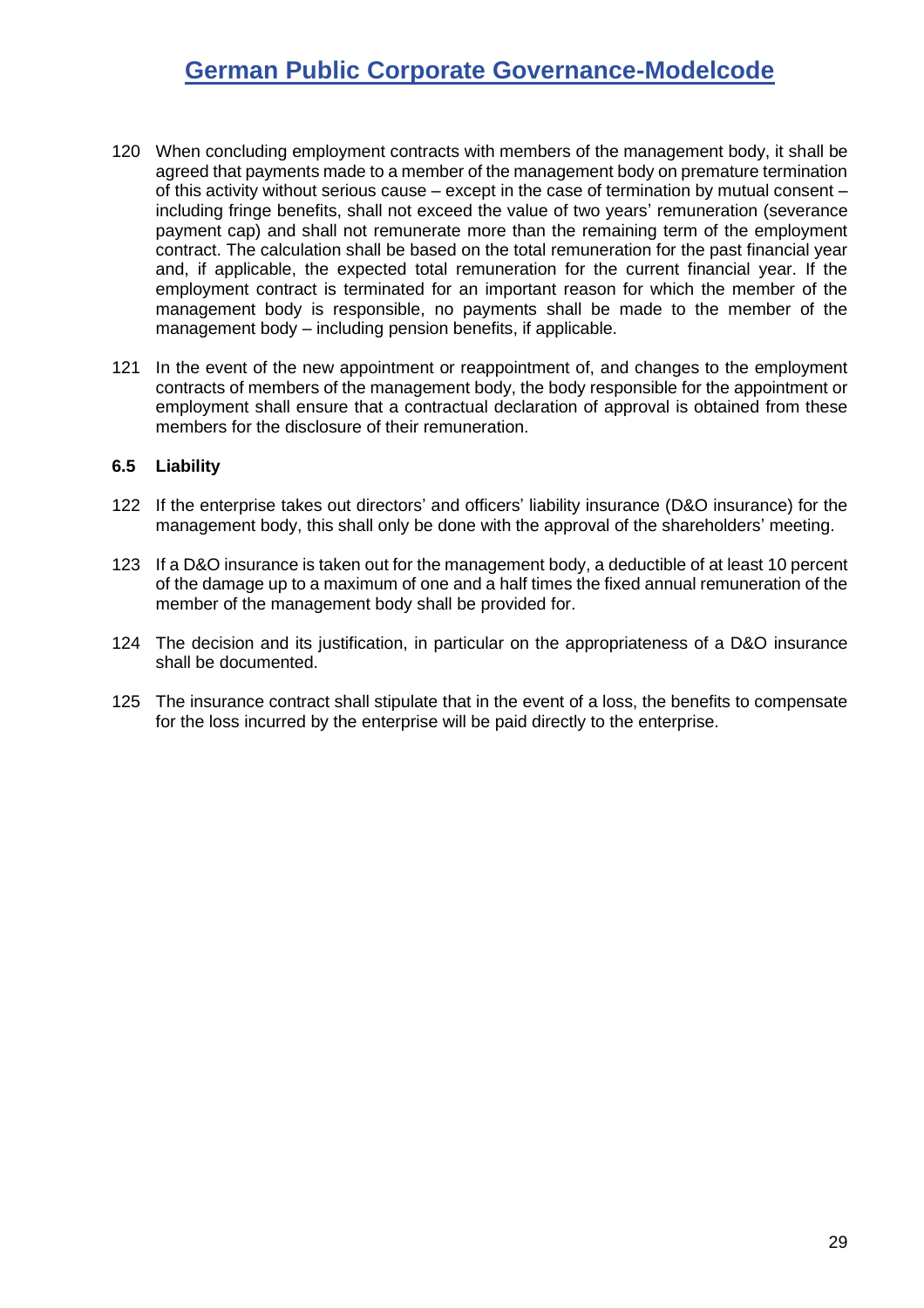- 120 When concluding employment contracts with members of the management body, it shall be agreed that payments made to a member of the management body on premature termination of this activity without serious cause – except in the case of termination by mutual consent – including fringe benefits, shall not exceed the value of two years' remuneration (severance payment cap) and shall not remunerate more than the remaining term of the employment contract. The calculation shall be based on the total remuneration for the past financial year and, if applicable, the expected total remuneration for the current financial year. If the employment contract is terminated for an important reason for which the member of the management body is responsible, no payments shall be made to the member of the management body – including pension benefits, if applicable.
- 121 In the event of the new appointment or reappointment of, and changes to the employment contracts of members of the management body, the body responsible for the appointment or employment shall ensure that a contractual declaration of approval is obtained from these members for the disclosure of their remuneration.

#### <span id="page-28-0"></span>**6.5 Liability**

- 122 If the enterprise takes out directors' and officers' liability insurance (D&O insurance) for the management body, this shall only be done with the approval of the shareholders' meeting.
- 123 If a D&O insurance is taken out for the management body, a deductible of at least 10 percent of the damage up to a maximum of one and a half times the fixed annual remuneration of the member of the management body shall be provided for.
- 124 The decision and its justification, in particular on the appropriateness of a D&O insurance shall be documented.
- 125 The insurance contract shall stipulate that in the event of a loss, the benefits to compensate for the loss incurred by the enterprise will be paid directly to the enterprise.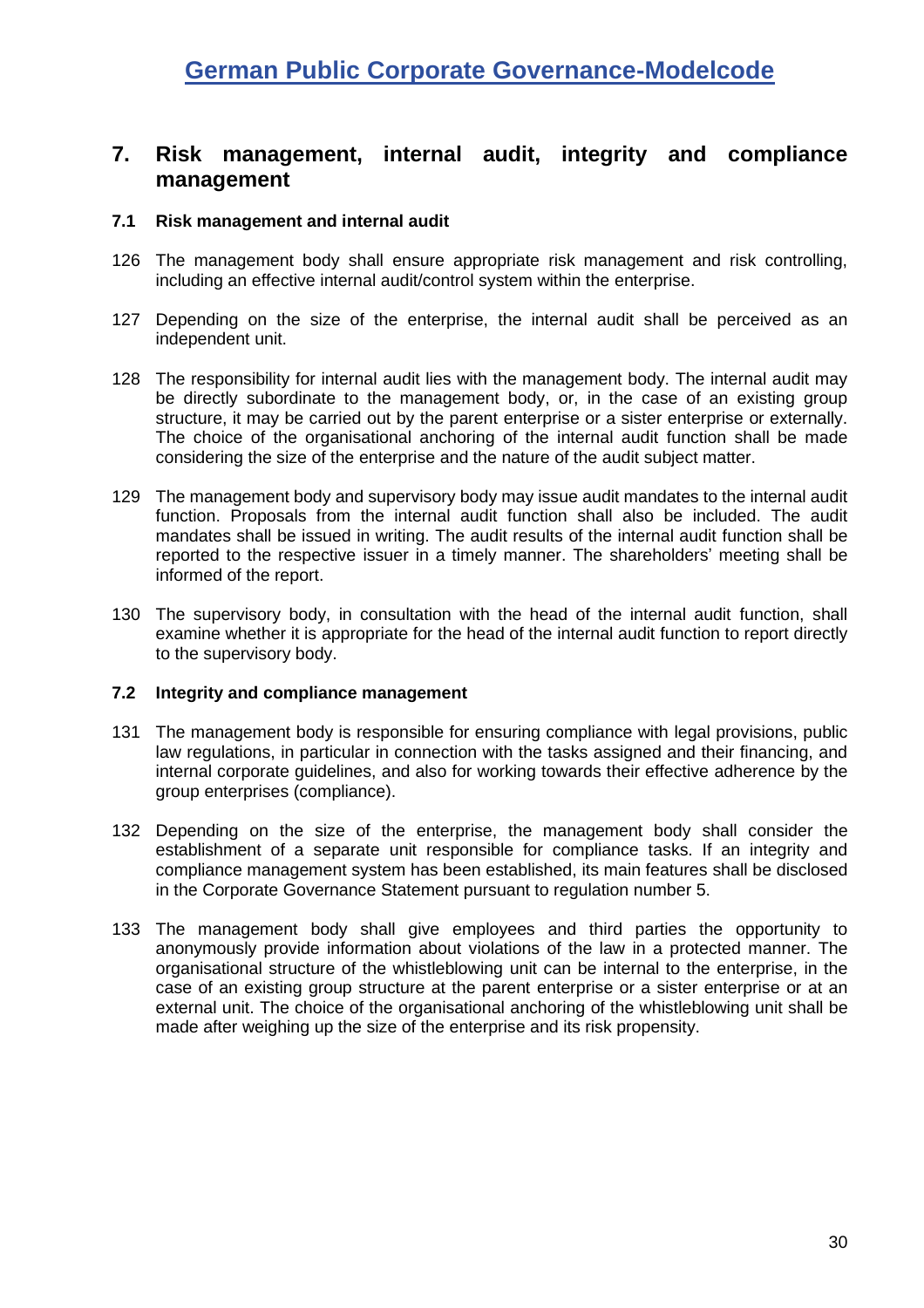### <span id="page-29-0"></span>**7. Risk management, internal audit, integrity and compliance management**

#### <span id="page-29-1"></span>**7.1 Risk management and internal audit**

- 126 The management body shall ensure appropriate risk management and risk controlling, including an effective internal audit/control system within the enterprise.
- 127 Depending on the size of the enterprise, the internal audit shall be perceived as an independent unit.
- 128 The responsibility for internal audit lies with the management body. The internal audit may be directly subordinate to the management body, or, in the case of an existing group structure, it may be carried out by the parent enterprise or a sister enterprise or externally. The choice of the organisational anchoring of the internal audit function shall be made considering the size of the enterprise and the nature of the audit subject matter.
- 129 The management body and supervisory body may issue audit mandates to the internal audit function. Proposals from the internal audit function shall also be included. The audit mandates shall be issued in writing. The audit results of the internal audit function shall be reported to the respective issuer in a timely manner. The shareholders' meeting shall be informed of the report.
- 130 The supervisory body, in consultation with the head of the internal audit function, shall examine whether it is appropriate for the head of the internal audit function to report directly to the supervisory body.

#### <span id="page-29-2"></span>**7.2 Integrity and compliance management**

- 131 The management body is responsible for ensuring compliance with legal provisions, public law regulations, in particular in connection with the tasks assigned and their financing, and internal corporate guidelines, and also for working towards their effective adherence by the group enterprises (compliance).
- 132 Depending on the size of the enterprise, the management body shall consider the establishment of a separate unit responsible for compliance tasks. If an integrity and compliance management system has been established, its main features shall be disclosed in the Corporate Governance Statement pursuant to regulation number [5.](#page-10-1)
- 133 The management body shall give employees and third parties the opportunity to anonymously provide information about violations of the law in a protected manner. The organisational structure of the whistleblowing unit can be internal to the enterprise, in the case of an existing group structure at the parent enterprise or a sister enterprise or at an external unit. The choice of the organisational anchoring of the whistleblowing unit shall be made after weighing up the size of the enterprise and its risk propensity.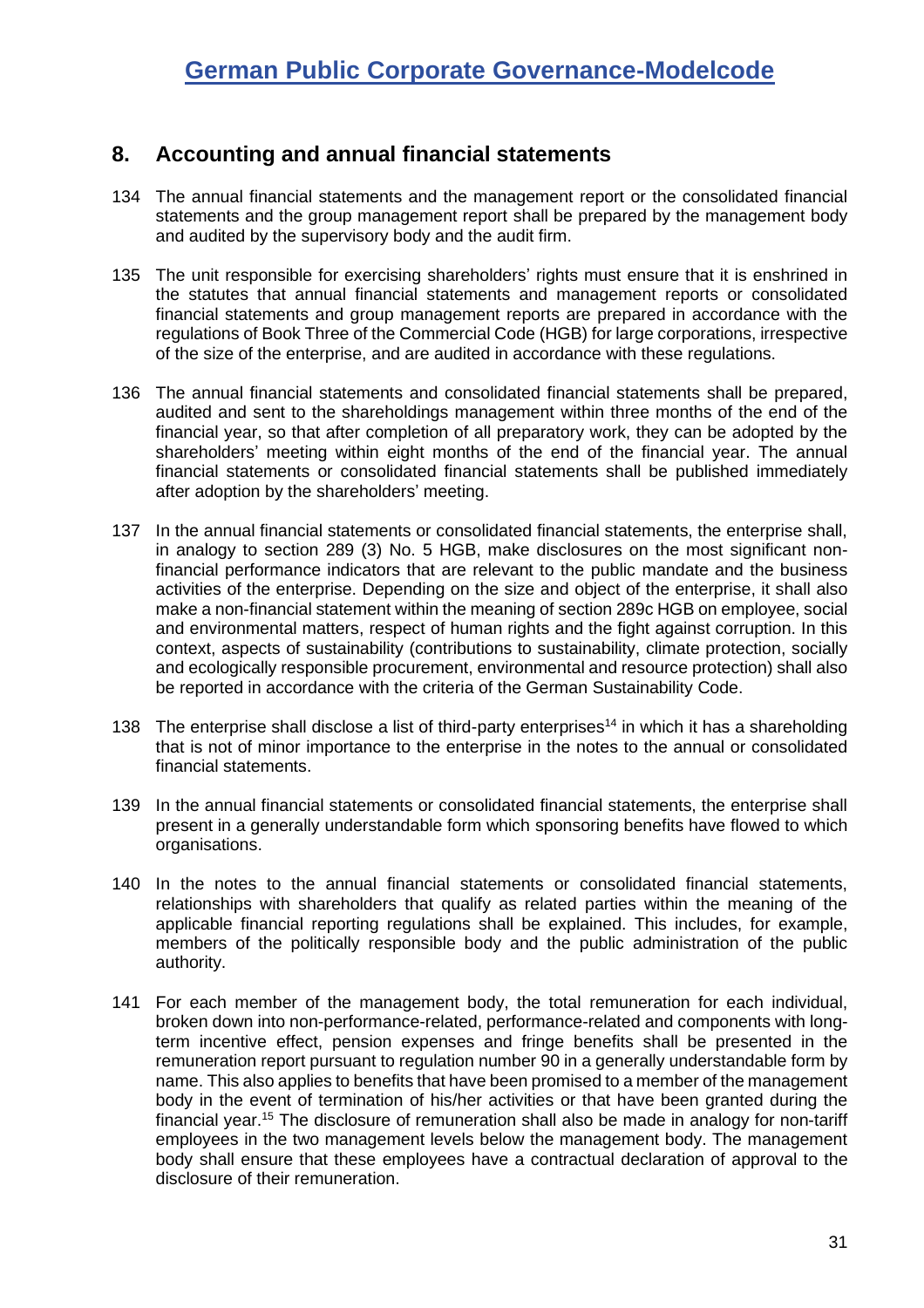### <span id="page-30-0"></span>**8. Accounting and annual financial statements**

- 134 The annual financial statements and the management report or the consolidated financial statements and the group management report shall be prepared by the management body and audited by the supervisory body and the audit firm.
- 135 The unit responsible for exercising shareholders' rights must ensure that it is enshrined in the statutes that annual financial statements and management reports or consolidated financial statements and group management reports are prepared in accordance with the regulations of Book Three of the Commercial Code (HGB) for large corporations, irrespective of the size of the enterprise, and are audited in accordance with these regulations.
- 136 The annual financial statements and consolidated financial statements shall be prepared, audited and sent to the shareholdings management within three months of the end of the financial year, so that after completion of all preparatory work, they can be adopted by the shareholders' meeting within eight months of the end of the financial year. The annual financial statements or consolidated financial statements shall be published immediately after adoption by the shareholders' meeting.
- 137 In the annual financial statements or consolidated financial statements, the enterprise shall, in analogy to section 289 (3) No. 5 HGB, make disclosures on the most significant nonfinancial performance indicators that are relevant to the public mandate and the business activities of the enterprise. Depending on the size and object of the enterprise, it shall also make a non-financial statement within the meaning of section 289c HGB on employee, social and environmental matters, respect of human rights and the fight against corruption. In this context, aspects of sustainability (contributions to sustainability, climate protection, socially and ecologically responsible procurement, environmental and resource protection) shall also be reported in accordance with the criteria of the German Sustainability Code.
- <span id="page-30-1"></span>138 The enterprise shall disclose a list of third-party enterprises<sup>14</sup> in which it has a shareholding that is not of minor importance to the enterprise in the notes to the annual or consolidated financial statements.
- 139 In the annual financial statements or consolidated financial statements, the enterprise shall present in a generally understandable form which sponsoring benefits have flowed to which organisations.
- 140 In the notes to the annual financial statements or consolidated financial statements, relationships with shareholders that qualify as related parties within the meaning of the applicable financial reporting regulations shall be explained. This includes, for example, members of the politically responsible body and the public administration of the public authority.
- 141 For each member of the management body, the total remuneration for each individual, broken down into non-performance-related, performance-related and components with longterm incentive effect, pension expenses and fringe benefits shall be presented in the remuneration report pursuant to regulation number [90](#page-23-0) in a generally understandable form by name. This also applies to benefits that have been promised to a member of the management body in the event of termination of his/her activities or that have been granted during the financial year.<sup>15</sup> The disclosure of remuneration shall also be made in analogy for non-tariff employees in the two management levels below the management body. The management body shall ensure that these employees have a contractual declaration of approval to the disclosure of their remuneration.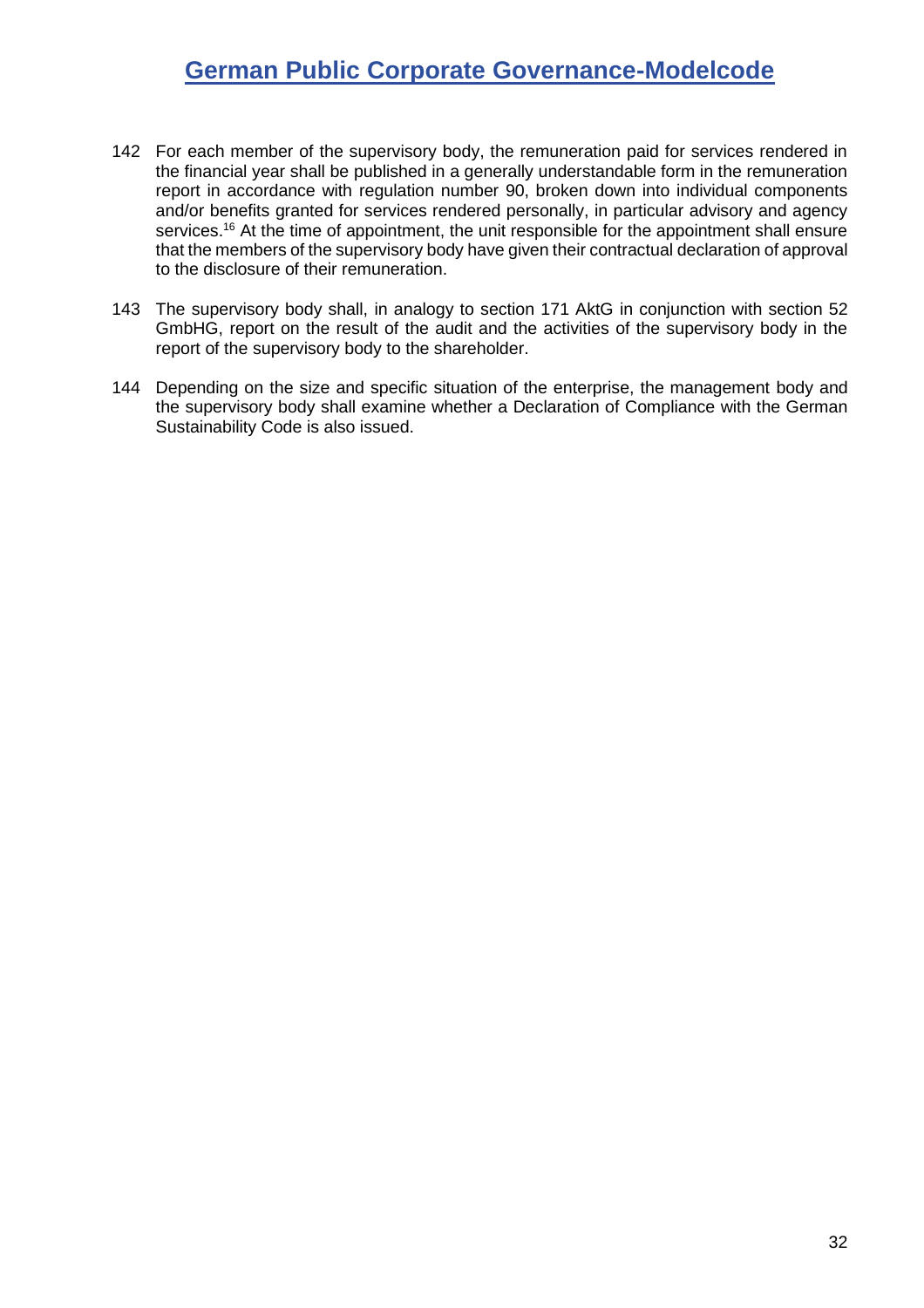- 142 For each member of the supervisory body, the remuneration paid for services rendered in the financial year shall be published in a generally understandable form in the remuneration report in accordance with regulation number [90,](#page-23-0) broken down into individual components and/or benefits granted for services rendered personally, in particular advisory and agency services.<sup>16</sup> At the time of appointment, the unit responsible for the appointment shall ensure that the members of the supervisory body have given their contractual declaration of approval to the disclosure of their remuneration.
- <span id="page-31-0"></span>143 The supervisory body shall, in analogy to section 171 AktG in conjunction with section 52 GmbHG, report on the result of the audit and the activities of the supervisory body in the report of the supervisory body to the shareholder.
- 144 Depending on the size and specific situation of the enterprise, the management body and the supervisory body shall examine whether a Declaration of Compliance with the German Sustainability Code is also issued.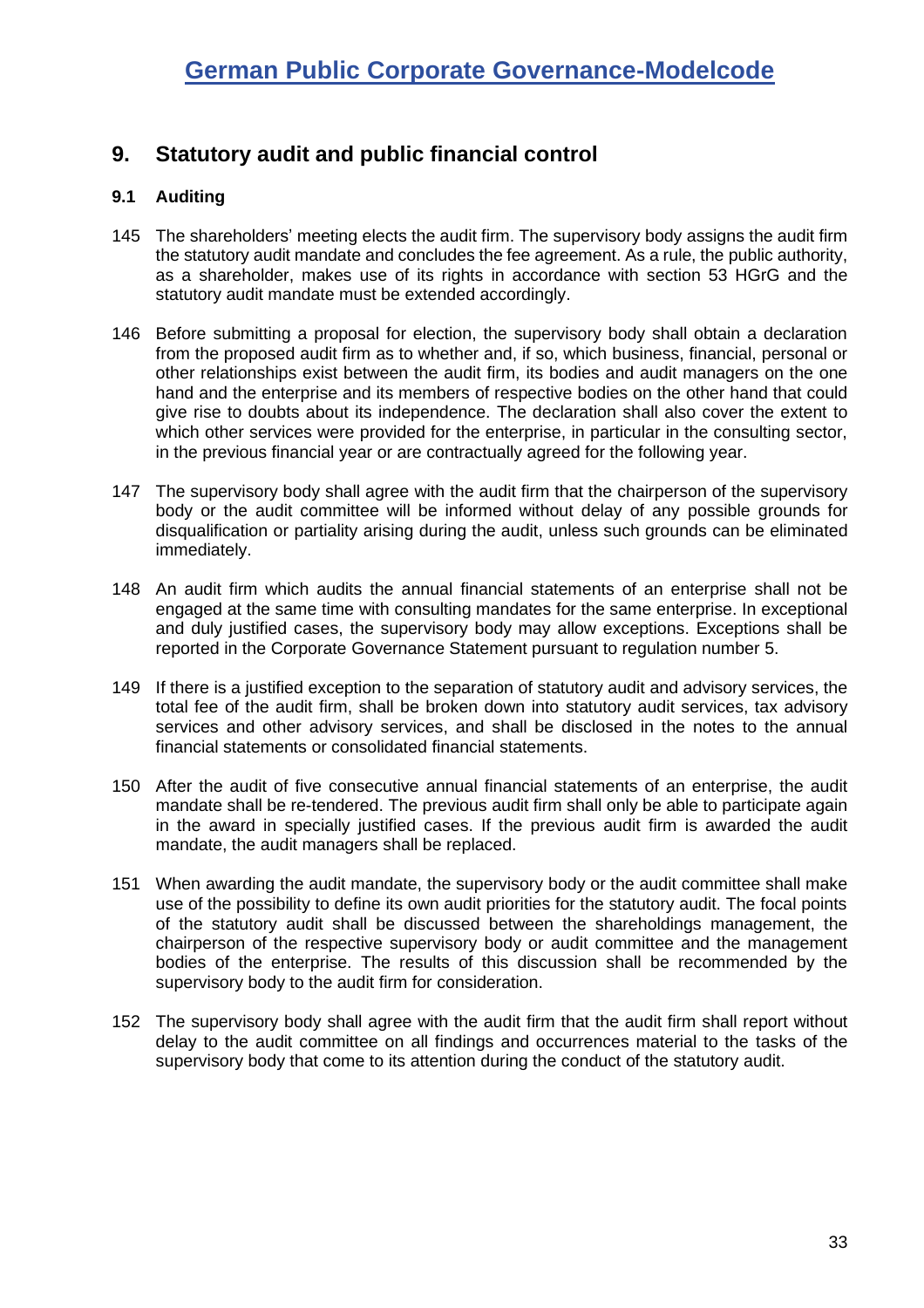## <span id="page-32-0"></span>**9. Statutory audit and public financial control**

#### <span id="page-32-1"></span>**9.1 Auditing**

- 145 The shareholders' meeting elects the audit firm. The supervisory body assigns the audit firm the statutory audit mandate and concludes the fee agreement. As a rule, the public authority, as a shareholder, makes use of its rights in accordance with section 53 HGrG and the statutory audit mandate must be extended accordingly.
- 146 Before submitting a proposal for election, the supervisory body shall obtain a declaration from the proposed audit firm as to whether and, if so, which business, financial, personal or other relationships exist between the audit firm, its bodies and audit managers on the one hand and the enterprise and its members of respective bodies on the other hand that could give rise to doubts about its independence. The declaration shall also cover the extent to which other services were provided for the enterprise, in particular in the consulting sector, in the previous financial year or are contractually agreed for the following year.
- 147 The supervisory body shall agree with the audit firm that the chairperson of the supervisory body or the audit committee will be informed without delay of any possible grounds for disqualification or partiality arising during the audit, unless such grounds can be eliminated immediately.
- 148 An audit firm which audits the annual financial statements of an enterprise shall not be engaged at the same time with consulting mandates for the same enterprise. In exceptional and duly justified cases, the supervisory body may allow exceptions. Exceptions shall be reported in the Corporate Governance Statement pursuant to regulation number [5.](#page-10-1)
- 149 If there is a justified exception to the separation of statutory audit and advisory services, the total fee of the audit firm, shall be broken down into statutory audit services, tax advisory services and other advisory services, and shall be disclosed in the notes to the annual financial statements or consolidated financial statements.
- 150 After the audit of five consecutive annual financial statements of an enterprise, the audit mandate shall be re-tendered. The previous audit firm shall only be able to participate again in the award in specially justified cases. If the previous audit firm is awarded the audit mandate, the audit managers shall be replaced.
- 151 When awarding the audit mandate, the supervisory body or the audit committee shall make use of the possibility to define its own audit priorities for the statutory audit. The focal points of the statutory audit shall be discussed between the shareholdings management, the chairperson of the respective supervisory body or audit committee and the management bodies of the enterprise. The results of this discussion shall be recommended by the supervisory body to the audit firm for consideration.
- 152 The supervisory body shall agree with the audit firm that the audit firm shall report without delay to the audit committee on all findings and occurrences material to the tasks of the supervisory body that come to its attention during the conduct of the statutory audit.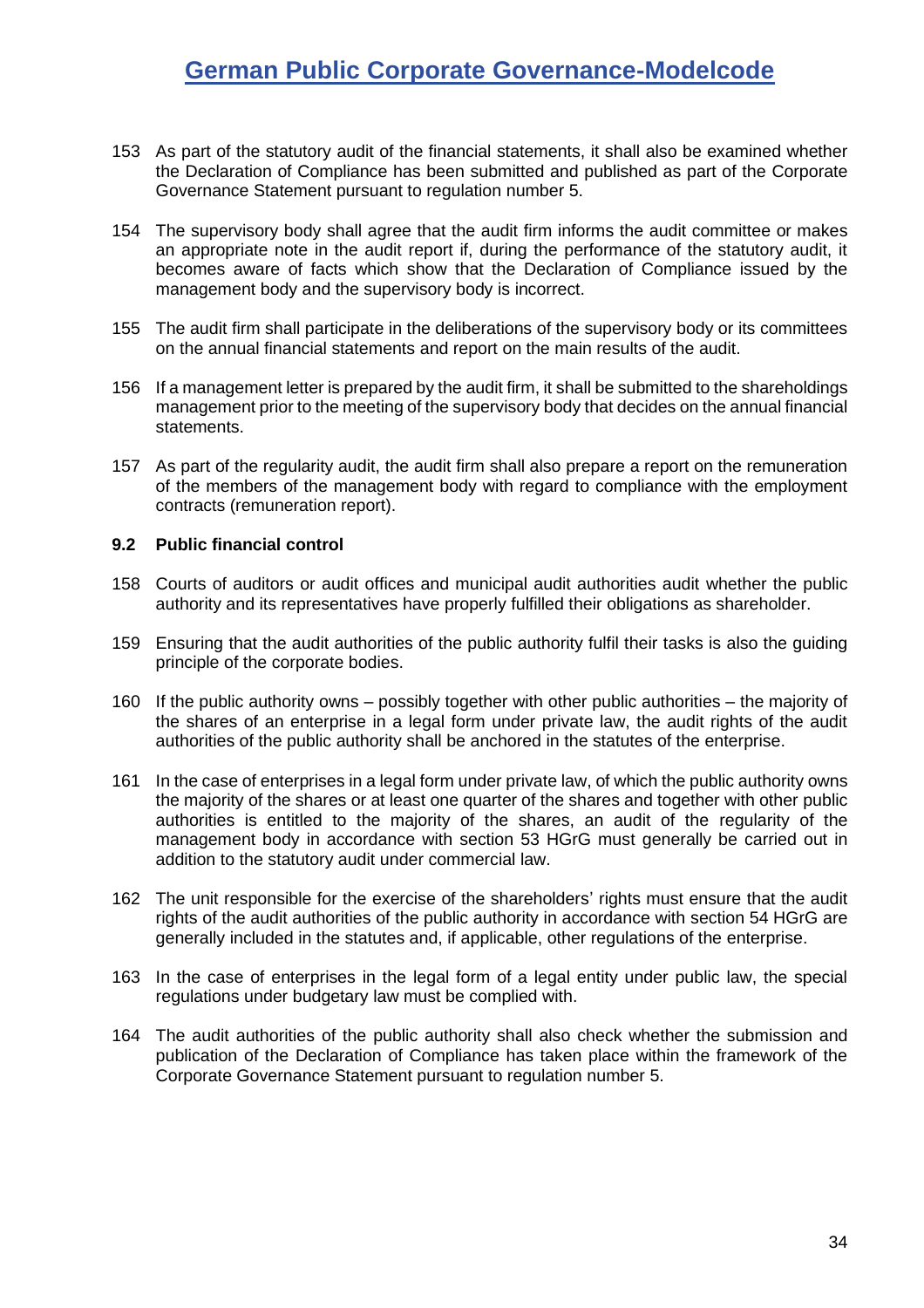- 153 As part of the statutory audit of the financial statements, it shall also be examined whether the Declaration of Compliance has been submitted and published as part of the Corporate Governance Statement pursuant to regulation number [5.](#page-10-1)
- 154 The supervisory body shall agree that the audit firm informs the audit committee or makes an appropriate note in the audit report if, during the performance of the statutory audit, it becomes aware of facts which show that the Declaration of Compliance issued by the management body and the supervisory body is incorrect.
- 155 The audit firm shall participate in the deliberations of the supervisory body or its committees on the annual financial statements and report on the main results of the audit.
- 156 If a management letter is prepared by the audit firm, it shall be submitted to the shareholdings management prior to the meeting of the supervisory body that decides on the annual financial statements.
- 157 As part of the regularity audit, the audit firm shall also prepare a report on the remuneration of the members of the management body with regard to compliance with the employment contracts (remuneration report).

#### <span id="page-33-0"></span>**9.2 Public financial control**

- 158 Courts of auditors or audit offices and municipal audit authorities audit whether the public authority and its representatives have properly fulfilled their obligations as shareholder.
- 159 Ensuring that the audit authorities of the public authority fulfil their tasks is also the guiding principle of the corporate bodies.
- 160 If the public authority owns possibly together with other public authorities the majority of the shares of an enterprise in a legal form under private law, the audit rights of the audit authorities of the public authority shall be anchored in the statutes of the enterprise.
- 161 In the case of enterprises in a legal form under private law, of which the public authority owns the majority of the shares or at least one quarter of the shares and together with other public authorities is entitled to the majority of the shares, an audit of the regularity of the management body in accordance with section 53 HGrG must generally be carried out in addition to the statutory audit under commercial law.
- 162 The unit responsible for the exercise of the shareholders' rights must ensure that the audit rights of the audit authorities of the public authority in accordance with section 54 HGrG are generally included in the statutes and, if applicable, other regulations of the enterprise.
- 163 In the case of enterprises in the legal form of a legal entity under public law, the special regulations under budgetary law must be complied with.
- 164 The audit authorities of the public authority shall also check whether the submission and publication of the Declaration of Compliance has taken place within the framework of the Corporate Governance Statement pursuant to regulation number [5.](#page-10-1)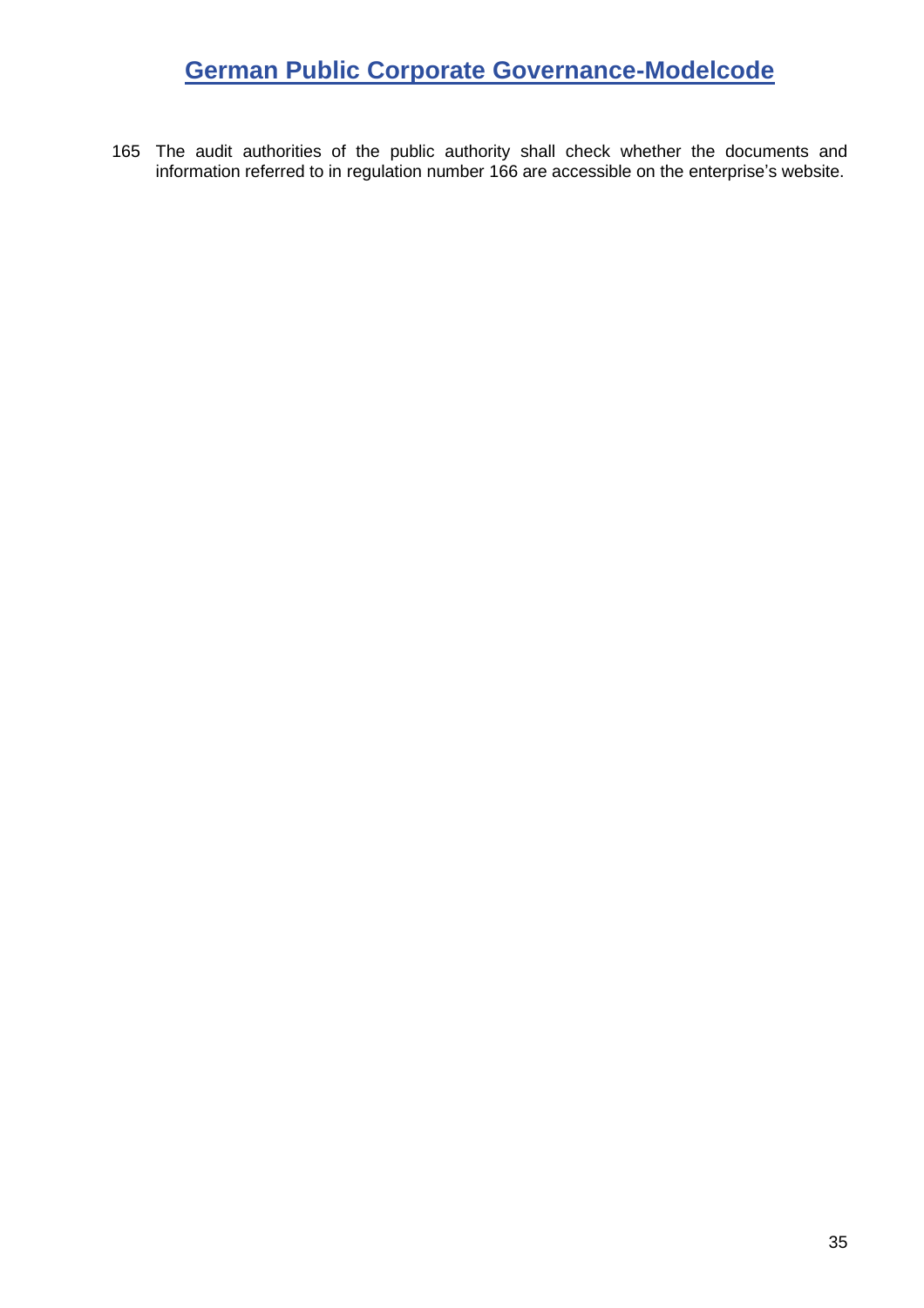165 The audit authorities of the public authority shall check whether the documents and information referred to in regulation number [166](#page-35-1) are accessible on the enterprise's website.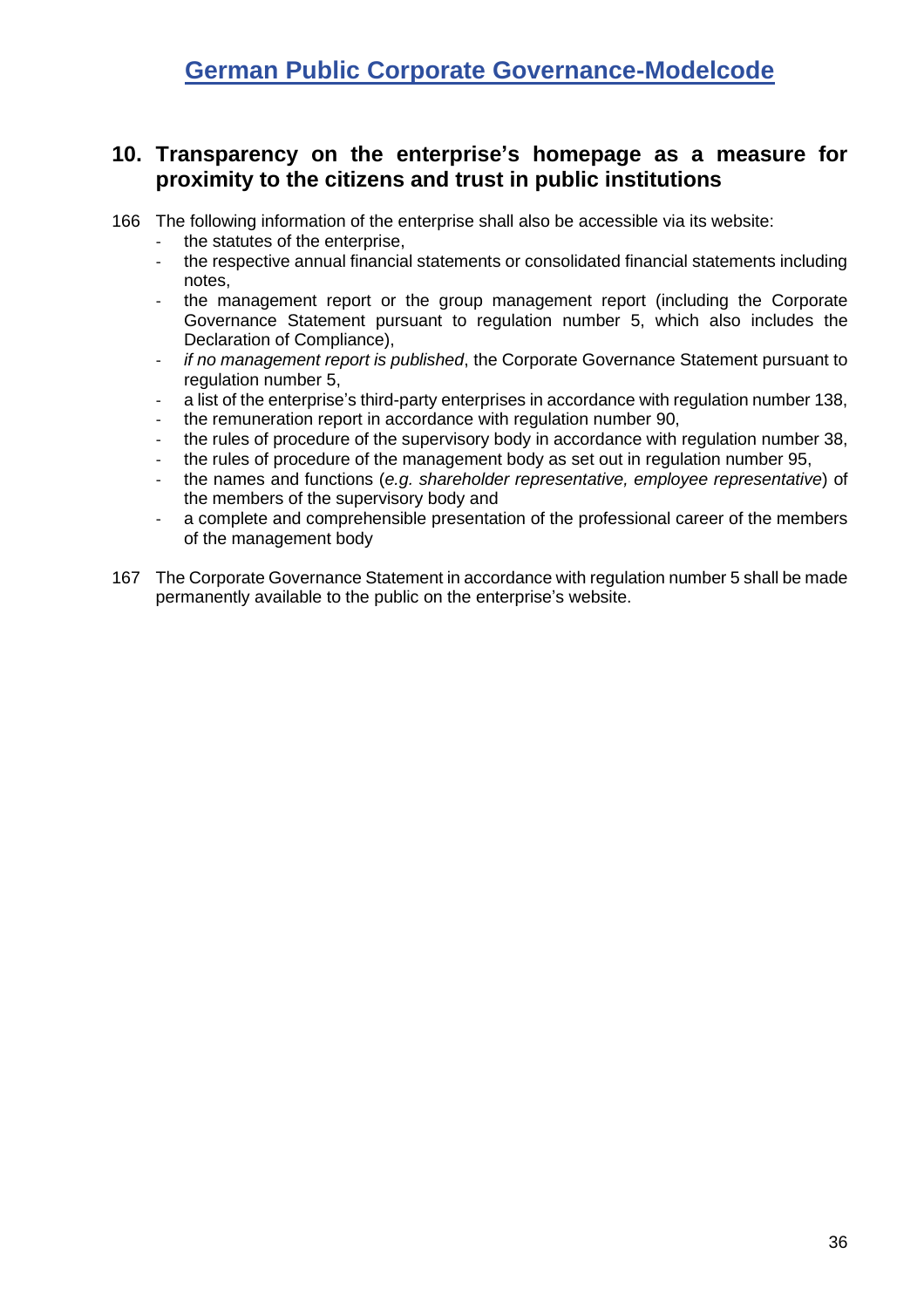### <span id="page-35-0"></span>**10. Transparency on the enterprise's homepage as a measure for proximity to the citizens and trust in public institutions**

<span id="page-35-1"></span>166 The following information of the enterprise shall also be accessible via its website:

- the statutes of the enterprise,
- the respective annual financial statements or consolidated financial statements including notes,
- the management report or the group management report (including the Corporate Governance Statement pursuant to regulation number [5,](#page-10-1) which also includes the Declaration of Compliance),
- *if no management report is published*, the Corporate Governance Statement pursuant to regulation number [5,](#page-10-1)
- a list of the enterprise's third-party enterprises in accordance with regulation number [138,](#page-30-1)
- the remuneration report in accordance with regulation number [90,](#page-23-0)
- the rules of procedure of the supervisory body in accordance with regulation number 38.
- the rules of procedure of the management body as set out in regulation number [95,](#page-24-3)
- the names and functions (*e.g. shareholder representative, employee representative*) of the members of the supervisory body and
- a complete and comprehensible presentation of the professional career of the members of the management body
- 167 The Corporate Governance Statement in accordance with regulation number [5](#page-10-1) shall be made permanently available to the public on the enterprise's website.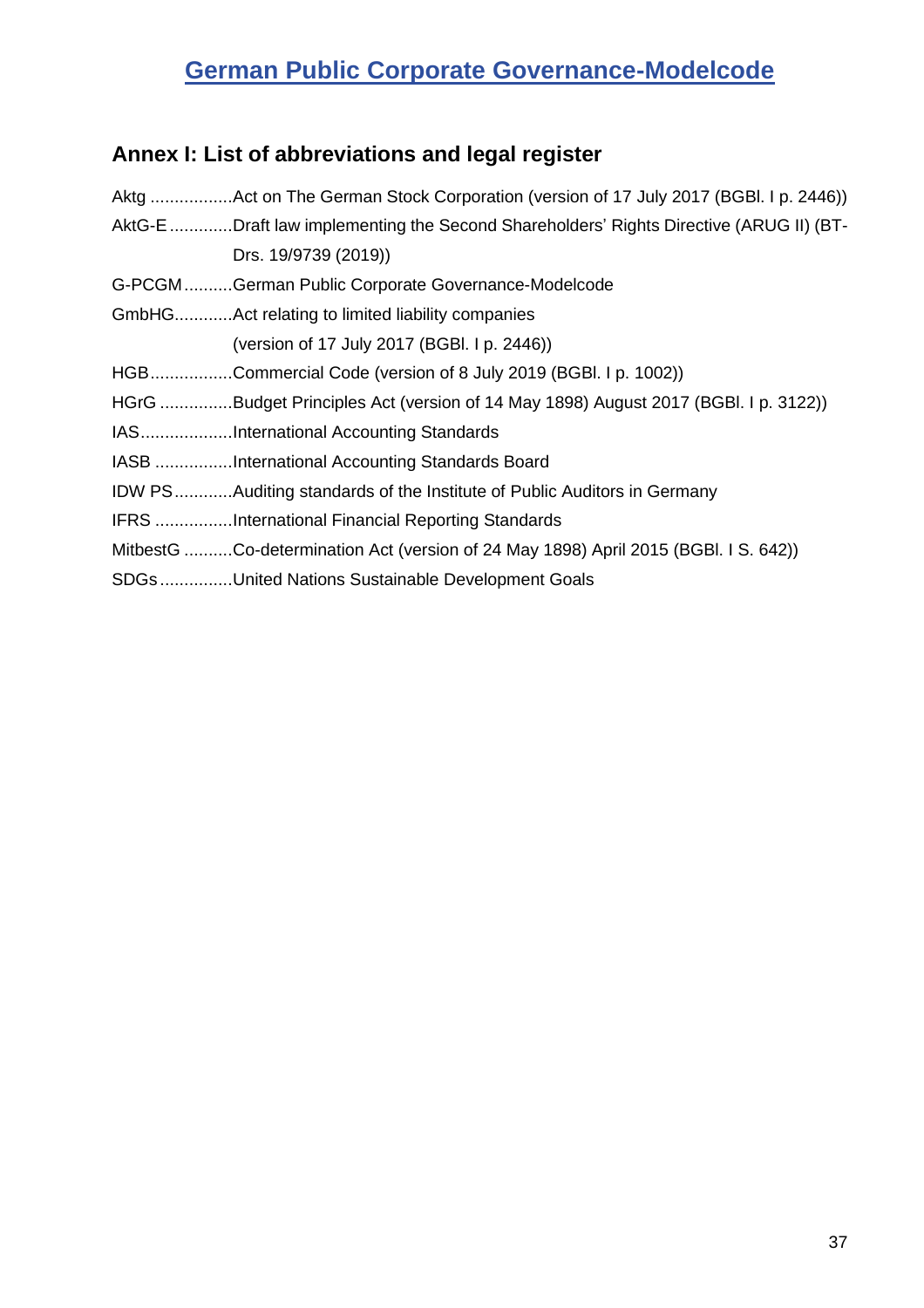# <span id="page-36-0"></span>**Annex I: List of abbreviations and legal register**

| Aktg Act on The German Stock Corporation (version of 17 July 2017 (BGBI. I p. 2446))   |
|----------------------------------------------------------------------------------------|
| AktG-E Draft law implementing the Second Shareholders' Rights Directive (ARUG II) (BT- |
| Drs. 19/9739 (2019))                                                                   |
| G-PCGMGerman Public Corporate Governance-Modelcode                                     |
| GmbHGAct relating to limited liability companies                                       |
| (version of 17 July 2017 (BGBI. I p. 2446))                                            |
| HGBCommercial Code (version of 8 July 2019 (BGBI. I p. 1002))                          |
| HGrG Budget Principles Act (version of 14 May 1898) August 2017 (BGBI. I p. 3122))     |
| IASInternational Accounting Standards                                                  |
| IASB International Accounting Standards Board                                          |
| <b>IDW PSAuditing standards of the Institute of Public Auditors in Germany</b>         |
| <b>IFRS</b> International Financial Reporting Standards                                |
| MitbestG Co-determination Act (version of 24 May 1898) April 2015 (BGBI. I S. 642))    |
| SDGs United Nations Sustainable Development Goals                                      |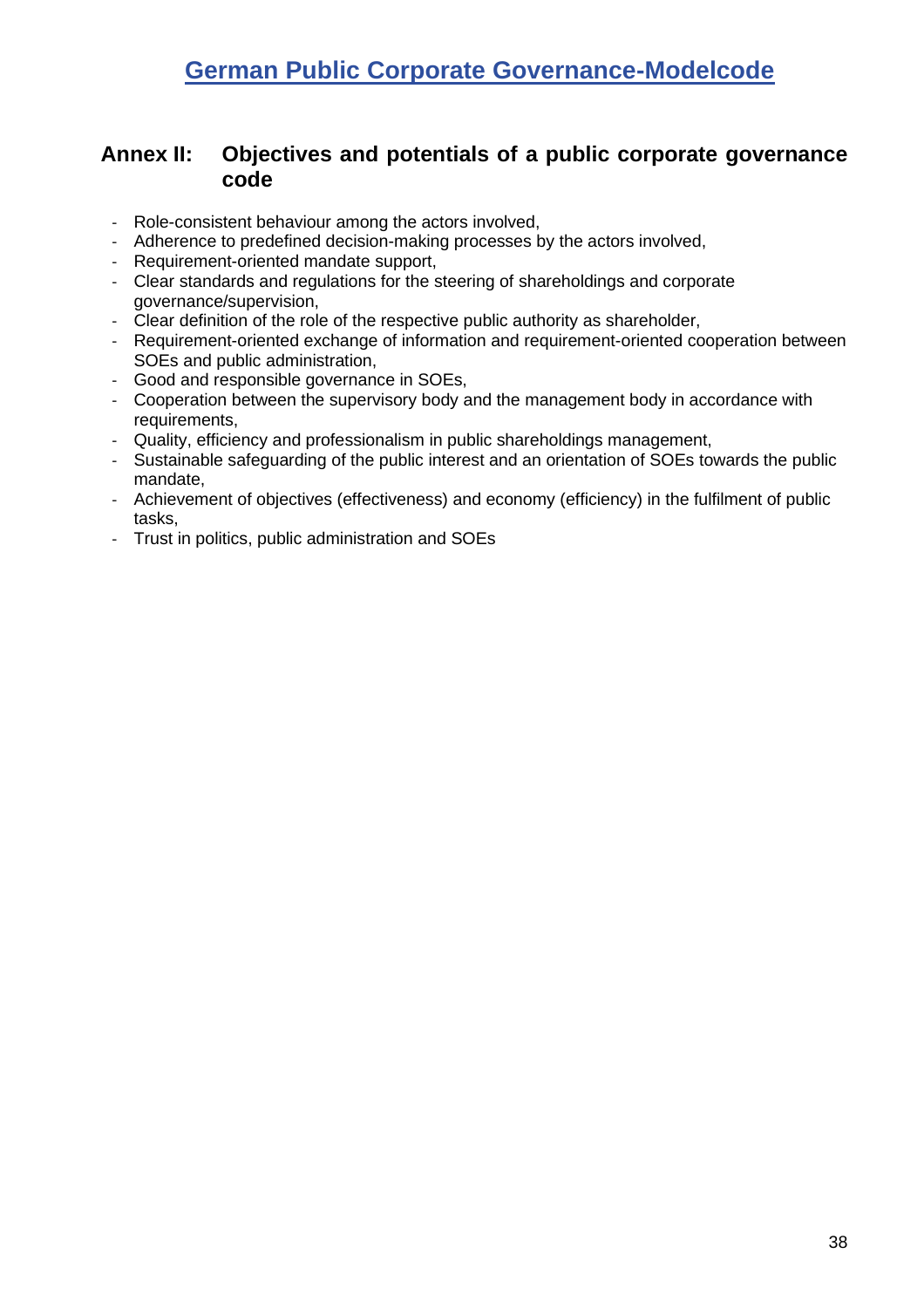### <span id="page-37-0"></span>**Annex II: Objectives and potentials of a public corporate governance code**

- Role-consistent behaviour among the actors involved,
- Adherence to predefined decision-making processes by the actors involved,
- Requirement-oriented mandate support,
- Clear standards and regulations for the steering of shareholdings and corporate governance/supervision,
- Clear definition of the role of the respective public authority as shareholder,
- Requirement-oriented exchange of information and requirement-oriented cooperation between SOEs and public administration,
- Good and responsible governance in SOEs,
- Cooperation between the supervisory body and the management body in accordance with requirements,
- Quality, efficiency and professionalism in public shareholdings management,
- Sustainable safeguarding of the public interest and an orientation of SOEs towards the public mandate,
- Achievement of objectives (effectiveness) and economy (efficiency) in the fulfilment of public tasks,
- Trust in politics, public administration and SOEs